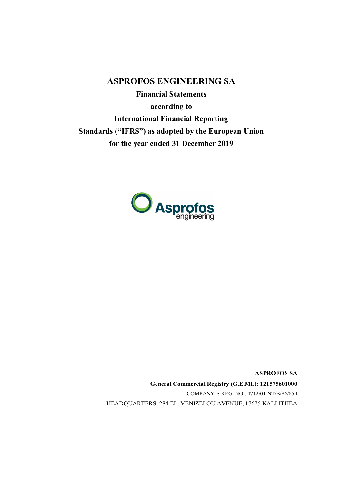**ASPROFOS ENGINEERING SA Financial Statements according to International Financial Reporting Standards ("IFRS") as adopted by the European Union for the year ended 31 December 2019**



**ASPROFOS SA General Commercial Registry (G.E.MI.): 121575601000** COMPANY'S REG. NO.: 4712/01 ΝΤ/Β/86/654 HEADQUARTERS: 284 EL. VENIZELOU AVENUE, 17675 KALLITHEA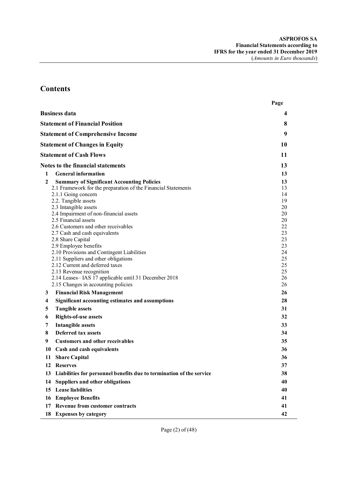# **Contents**

|        |                                                                                                                                                                                                                                                                                                                                                                                                                                                                                                                                                                                                                                        | Page                                                                                               |
|--------|----------------------------------------------------------------------------------------------------------------------------------------------------------------------------------------------------------------------------------------------------------------------------------------------------------------------------------------------------------------------------------------------------------------------------------------------------------------------------------------------------------------------------------------------------------------------------------------------------------------------------------------|----------------------------------------------------------------------------------------------------|
|        | <b>Business data</b>                                                                                                                                                                                                                                                                                                                                                                                                                                                                                                                                                                                                                   | 4                                                                                                  |
|        | <b>Statement of Financial Position</b>                                                                                                                                                                                                                                                                                                                                                                                                                                                                                                                                                                                                 | 8                                                                                                  |
|        | <b>Statement of Comprehensive Income</b>                                                                                                                                                                                                                                                                                                                                                                                                                                                                                                                                                                                               | 9                                                                                                  |
|        | <b>Statement of Changes in Equity</b>                                                                                                                                                                                                                                                                                                                                                                                                                                                                                                                                                                                                  | 10                                                                                                 |
|        | <b>Statement of Cash Flows</b>                                                                                                                                                                                                                                                                                                                                                                                                                                                                                                                                                                                                         | 11                                                                                                 |
|        | <b>Notes to the financial statements</b>                                                                                                                                                                                                                                                                                                                                                                                                                                                                                                                                                                                               | 13                                                                                                 |
| 1      | <b>General information</b>                                                                                                                                                                                                                                                                                                                                                                                                                                                                                                                                                                                                             | 13                                                                                                 |
| 2      | <b>Summary of Significant Accounting Policies</b><br>2.1 Framework for the preparation of the Financial Statements<br>2.1.1 Going concern<br>2.2. Tangible assets<br>2.3 Intangible assets<br>2.4 Impairment of non-financial assets<br>2.5 Financial assets<br>2.6 Customers and other receivables<br>2.7 Cash and cash equivalents<br>2.8 Share Capital<br>2.9 Employee benefits<br>2.10 Provisions and Contingent Liabilities<br>2.11 Suppliers and other obligations<br>2.12 Current and deferred taxes<br>2.13 Revenue recognition<br>2.14 Leases-IAS 17 applicable until 31 December 2018<br>2.15 Changes in accounting policies | 13<br>13<br>14<br>19<br>20<br>20<br>20<br>22<br>23<br>23<br>23<br>24<br>25<br>25<br>25<br>26<br>26 |
| 3      | <b>Financial Risk Management</b>                                                                                                                                                                                                                                                                                                                                                                                                                                                                                                                                                                                                       | 26                                                                                                 |
| 4      | <b>Significant accounting estimates and assumptions</b>                                                                                                                                                                                                                                                                                                                                                                                                                                                                                                                                                                                | 28                                                                                                 |
| 5      | <b>Tangible assets</b>                                                                                                                                                                                                                                                                                                                                                                                                                                                                                                                                                                                                                 | 31                                                                                                 |
| 6      | <b>Rights-of-use assets</b>                                                                                                                                                                                                                                                                                                                                                                                                                                                                                                                                                                                                            | 32                                                                                                 |
| 7      | <b>Intangible assets</b>                                                                                                                                                                                                                                                                                                                                                                                                                                                                                                                                                                                                               | 33                                                                                                 |
| 8<br>9 | <b>Deferred tax assets</b><br><b>Customers and other receivables</b>                                                                                                                                                                                                                                                                                                                                                                                                                                                                                                                                                                   | 34<br>35                                                                                           |
|        | 10 Cash and cash equivalents                                                                                                                                                                                                                                                                                                                                                                                                                                                                                                                                                                                                           | 36                                                                                                 |
| 11     | <b>Share Capital</b>                                                                                                                                                                                                                                                                                                                                                                                                                                                                                                                                                                                                                   | 36                                                                                                 |
| 12     | <b>Reserves</b>                                                                                                                                                                                                                                                                                                                                                                                                                                                                                                                                                                                                                        | 37                                                                                                 |
| 13     | Liabilities for personnel benefits due to termination of the service                                                                                                                                                                                                                                                                                                                                                                                                                                                                                                                                                                   | 38                                                                                                 |
| 14     | <b>Suppliers and other obligations</b>                                                                                                                                                                                                                                                                                                                                                                                                                                                                                                                                                                                                 | 40                                                                                                 |
| 15     | <b>Lease liabilities</b>                                                                                                                                                                                                                                                                                                                                                                                                                                                                                                                                                                                                               | 40                                                                                                 |
| 16     | <b>Employee Benefits</b>                                                                                                                                                                                                                                                                                                                                                                                                                                                                                                                                                                                                               | 41                                                                                                 |
| 17     | <b>Revenue from customer contracts</b>                                                                                                                                                                                                                                                                                                                                                                                                                                                                                                                                                                                                 | 41                                                                                                 |
|        | 18 Expenses by category                                                                                                                                                                                                                                                                                                                                                                                                                                                                                                                                                                                                                | 42                                                                                                 |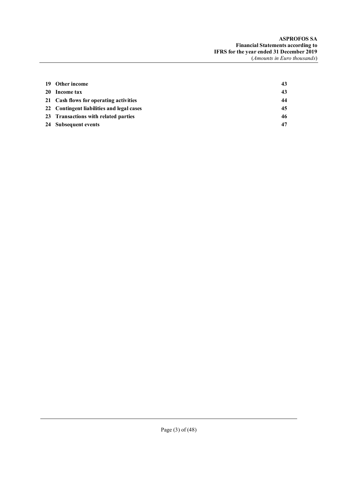| 19 Other income                           | 43 |
|-------------------------------------------|----|
| 20 Income tax                             | 43 |
| 21 Cash flows for operating activities    | 44 |
| 22 Contingent liabilities and legal cases | 45 |
| 23 Transactions with related parties      | 46 |
| 24 Subsequent events                      | 47 |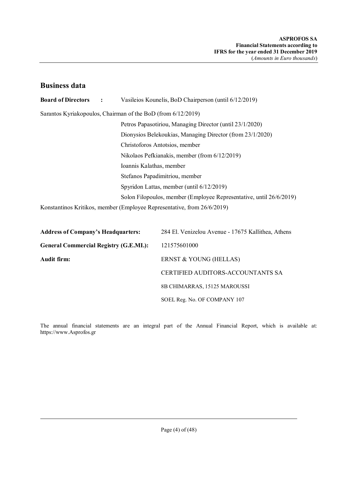# **Business data**

| <b>Board of Directors</b> | $\mathbf{r}$                                                 | Vasileios Kounelis, BoD Chairperson (until 6/12/2019)                   |  |  |  |
|---------------------------|--------------------------------------------------------------|-------------------------------------------------------------------------|--|--|--|
|                           | Sarantos Kyriakopoulos, Chairman of the BoD (from 6/12/2019) |                                                                         |  |  |  |
|                           |                                                              | Petros Papasotiriou, Managing Director (until 23/1/2020)                |  |  |  |
|                           |                                                              | Dionysios Belekoukias, Managing Director (from 23/1/2020)               |  |  |  |
|                           | Christoforos Antotsios, member                               |                                                                         |  |  |  |
|                           |                                                              | Nikolaos Pefkianakis, member (from 6/12/2019)                           |  |  |  |
|                           |                                                              | Ioannis Kalathas, member                                                |  |  |  |
|                           |                                                              | Stefanos Papadimitriou, member                                          |  |  |  |
|                           |                                                              | Spyridon Lattas, member (until 6/12/2019)                               |  |  |  |
|                           |                                                              | Solon Filopoulos, member (Employee Representative, until 26/6/2019)     |  |  |  |
|                           |                                                              | Konstantinos Kritikos, member (Employee Representative, from 26/6/2019) |  |  |  |

| <b>Address of Company's Headquarters:</b>     | 284 El. Venizelou Avenue - 17675 Kallithea, Athens |
|-----------------------------------------------|----------------------------------------------------|
| <b>General Commercial Registry (G.E.MI.):</b> | 121575601000                                       |
| Audit firm:                                   | ERNST & YOUNG (HELLAS)                             |
|                                               | CERTIFIED AUDITORS-ACCOUNTANTS SA                  |
|                                               | 8B CHIMARRAS, 15125 MAROUSSI                       |
|                                               | SOEL Reg. No. OF COMPANY 107                       |

The annual financial statements are an integral part of the Annual Financial Report, which is available at: https://www.Asprofos.gr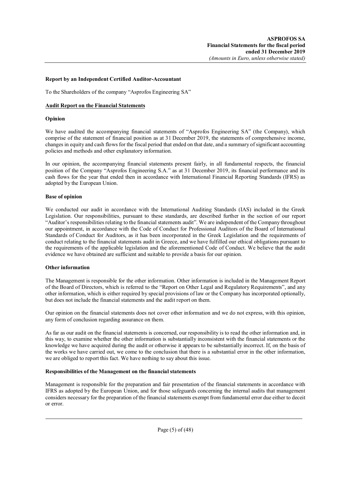### **Report by an Independent Certified Auditor-Accountant**

To the Shareholders of the company "Asprofos Engineering SA"

### **Audit Report on the Financial Statements**

## **Opinion**

We have audited the accompanying financial statements of "Asprofos Engineering SA" (the Company), which comprise of the statement of financial position as at 31 December 2019, the statements of comprehensive income, changes in equity and cash flows for the fiscal period that ended on that date, and a summary of significant accounting policies and methods and other explanatory information.

In our opinion, the accompanying financial statements present fairly, in all fundamental respects, the financial position of the Company "Asprofos Engineering S.A." as at 31 December 2019, its financial performance and its cash flows for the year that ended then in accordance with International Financial Reporting Standards (IFRS) as adopted by the European Union.

## **Base of opinion**

We conducted our audit in accordance with the International Auditing Standards (IAS) included in the Greek Legislation. Our responsibilities, pursuant to these standards, are described further in the section of our report "Auditor's responsibilities relating to the financial statements audit". We are independent of the Company throughout our appointment, in accordance with the Code of Conduct for Professional Auditors of the Board of International Standards of Conduct for Auditors, as it has been incorporated in the Greek Legislation and the requirements of conduct relating to the financial statements audit in Greece, and we have fulfilled our ethical obligations pursuant to the requirements of the applicable legislation and the aforementioned Code of Conduct. We believe that the audit evidence we have obtained are sufficient and suitable to provide a basis for our opinion.

#### **Other information**

The Management is responsible for the other information. Other information is included in the Management Report of the Board of Directors, which is referred to the "Report on Other Legal and Regulatory Requirements", and any other information, which is either required by special provisions of law or the Company has incorporated optionally, but does not include the financial statements and the audit report on them.

Our opinion on the financial statements does not cover other information and we do not express, with this opinion, any form of conclusion regarding assurance on them.

As far as our audit on the financial statements is concerned, our responsibility is to read the other information and, in this way, to examine whether the other information is substantially inconsistent with the financial statements or the knowledge we have acquired during the audit or otherwise it appears to be substantially incorrect. If, on the basis of the works we have carried out, we come to the conclusion that there is a substantial error in the other information, we are obliged to report this fact. We have nothing to say about this issue.

#### **Responsibilities of the Management on the financial statements**

Management is responsible for the preparation and fair presentation of the financial statements in accordance with IFRS as adopted by the European Union, and for those safeguards concerning the internal audits that management considers necessary for the preparation of the financial statements exempt from fundamental error due either to deceit or error.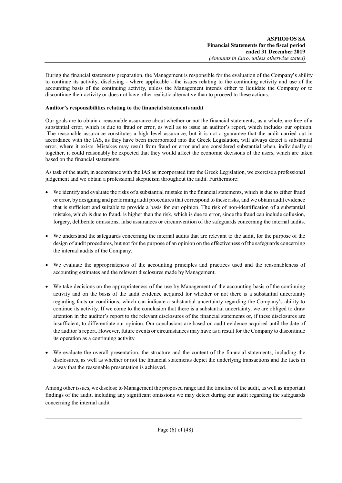During the financial statements preparation, the Management is responsible for the evaluation of the Company's ability to continue its activity, disclosing - where applicable - the issues relating to the continuing activity and use of the accounting basis of the continuing activity, unless the Management intends either to liquidate the Company or to discontinue their activity or does not have other realistic alternative than to proceed to these actions.

## **Auditor's responsibilities relating to the financial statements audit**

Our goals are to obtain a reasonable assurance about whether or not the financial statements, as a whole, are free of a substantial error, which is due to fraud or error, as well as to issue an auditor's report, which includes our opinion. The reasonable assurance constitutes a high level assurance, but it is not a guarantee that the audit carried out in accordance with the IAS, as they have been incorporated into the Greek Legislation, will always detect a substantial error, where it exists. Mistakes may result from fraud or error and are considered substantial when, individually or together, it could reasonably be expected that they would affect the economic decisions of the users, which are taken based on the financial statements.

As task of the audit, in accordance with the IAS as incorporated into the Greek Legislation, we exercise a professional judgement and we obtain a professional skepticism throughout the audit. Furthermore:

- We identify and evaluate the risks of a substantial mistake in the financial statements, which is due to either fraud or error, by designing and performing audit procedures that correspond to these risks, and we obtain audit evidence that is sufficient and suitable to provide a basis for our opinion. The risk of non-identification of a substantial mistake, which is due to fraud, is higher than the risk, which is due to error, since the fraud can include collusion, forgery, deliberate omissions, false assurances or circumvention of the safeguards concerning the internal audits.
- We understand the safeguards concerning the internal audits that are relevant to the audit, for the purpose of the design of audit procedures, but not for the purpose of an opinion on the effectiveness of the safeguards concerning the internal audits of the Company.
- We evaluate the appropriateness of the accounting principles and practices used and the reasonableness of accounting estimates and the relevant disclosures made by Management.
- We take decisions on the appropriateness of the use by Management of the accounting basis of the continuing activity and on the basis of the audit evidence acquired for whether or not there is a substantial uncertainty regarding facts or conditions, which can indicate a substantial uncertainty regarding the Company's ability to continue its activity. If we come to the conclusion that there is a substantial uncertainty, we are obliged to draw attention in the auditor's report to the relevant disclosures of the financial statements or, if these disclosures are insufficient, to differentiate our opinion. Our conclusions are based on audit evidence acquired until the date of the auditor's report. However, future events or circumstances may have as a result for the Company to discontinue its operation as a continuing activity.
- We evaluate the overall presentation, the structure and the content of the financial statements, including the disclosures, as well as whether or not the financial statements depict the underlying transactions and the facts in a way that the reasonable presentation is achieved.

Among other issues, we disclose to Management the proposed range and the timeline of the audit, as well as important findings of the audit, including any significant omissions we may detect during our audit regarding the safeguards concerning the internal audit.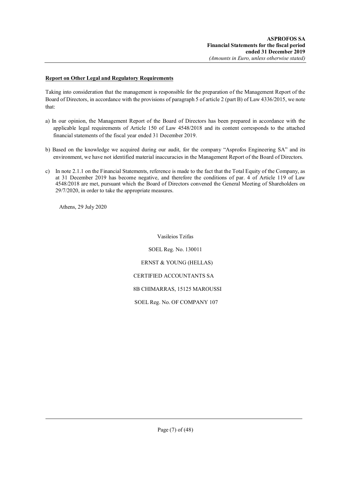## **Report on Other Legal and Regulatory Requirements**

Taking into consideration that the management is responsible for the preparation of the Management Report of the Board of Directors, in accordance with the provisions of paragraph 5 of article 2 (part B) of Law 4336/2015, we note that:

- a) In our opinion, the Management Report of the Board of Directors has been prepared in accordance with the applicable legal requirements of Article 150 of Law 4548/2018 and its content corresponds to the attached financial statements of the fiscal year ended 31 December 2019.
- b) Based on the knowledge we acquired during our audit, for the company "Asprofos Engineering SA" and its environment, we have not identified material inaccuracies in the Management Report of the Board of Directors.
- c) In note 2.1.1 on the Financial Statements, reference is made to the fact that the Total Equity of the Company, as at 31 December 2019 has become negative, and therefore the conditions of par. 4 of Article 119 of Law 4548/2018 are met, pursuant which the Board of Directors convened the General Meeting of Shareholders on 29/7/2020, in order to take the appropriate measures.

Athens, 29 July 2020

Vasileios Tzifas

SOEL Reg. No. 130011 ERNST & YOUNG (HELLAS) CERTIFIED ACCOUNTANTS SA 8Β CHIMARRAS, 15125 MAROUSSI

SOEL Reg. No. OF COMPANY 107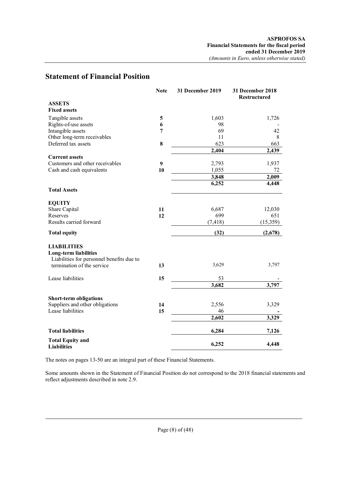# **Statement of Financial Position**

|                                                                                                 | <b>Note</b> | 31 December 2019 | 31 December 2018<br><b>Restructured</b> |
|-------------------------------------------------------------------------------------------------|-------------|------------------|-----------------------------------------|
| <b>ASSETS</b>                                                                                   |             |                  |                                         |
| <b>Fixed assets</b>                                                                             |             |                  |                                         |
| Tangible assets                                                                                 | 5           | 1,603            | 1,726                                   |
| Rights-of-use assets                                                                            | 6           | 98               |                                         |
| Intangible assets                                                                               | 7           | 69               | 42                                      |
| Other long-term receivables                                                                     |             | 11               | 8                                       |
| Deferred tax assets                                                                             | 8           | 623              | 663                                     |
|                                                                                                 |             | 2,404            | 2,439                                   |
| <b>Current assets</b>                                                                           |             |                  |                                         |
| Customers and other receivables                                                                 | 9           | 2,793            | 1,937                                   |
| Cash and cash equivalents                                                                       | 10          | 1,055            | 72                                      |
|                                                                                                 |             | 3,848            | 2,009                                   |
|                                                                                                 |             | 6,252            | 4,448                                   |
| <b>Total Assets</b>                                                                             |             |                  |                                         |
| <b>EQUITY</b>                                                                                   |             |                  |                                         |
| Share Capital                                                                                   | 11          | 6,687            | 12,030                                  |
| Reserves                                                                                        | 12          | 699              | 651                                     |
| Results carried forward                                                                         |             | (7, 418)         | (15,359)                                |
| <b>Total equity</b>                                                                             |             | (32)             | (2,678)                                 |
| <b>LIABILITIES</b><br><b>Long-term liabilities</b><br>Liabilities for personnel benefits due to |             |                  |                                         |
| termination of the service                                                                      | 13          | 3,629            | 3,797                                   |
| Lease liabilities                                                                               | 15          | 53               |                                         |
|                                                                                                 |             | 3,682            | 3,797                                   |
| <b>Short-term obligations</b>                                                                   |             |                  |                                         |
| Suppliers and other obligations                                                                 | 14          | 2,556            | 3,329                                   |
| Lease liabilities                                                                               | 15          | 46               |                                         |
|                                                                                                 |             | 2,602            | 3,329                                   |
| <b>Total liabilities</b>                                                                        |             | 6,284            | 7,126                                   |
| <b>Total Equity and</b><br><b>Liabilities</b>                                                   |             | 6,252            | 4,448                                   |

The notes on pages 13-50 are an integral part of these Financial Statements.

Some amounts shown in the Statement of Financial Position do not correspond to the 2018 financial statements and reflect adjustments described in note 2.9.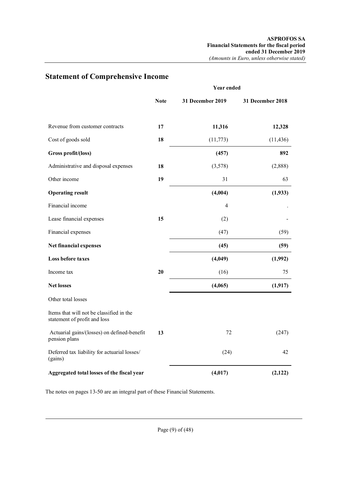|                                                                          | <b>Year ended</b> |                  |                  |
|--------------------------------------------------------------------------|-------------------|------------------|------------------|
|                                                                          | <b>Note</b>       | 31 December 2019 | 31 December 2018 |
| Revenue from customer contracts                                          | 17                | 11,316           | 12,328           |
| Cost of goods sold                                                       | 18                | (11,773)         | (11, 436)        |
| Gross profit/(loss)                                                      |                   | (457)            | 892              |
| Administrative and disposal expenses                                     | 18                | (3,578)          | (2,888)          |
| Other income                                                             | 19                | 31               | 63               |
| <b>Operating result</b>                                                  |                   | (4,004)          | (1,933)          |
| Financial income                                                         |                   | $\overline{4}$   |                  |
| Lease financial expenses                                                 | 15                | (2)              |                  |
| Financial expenses                                                       |                   | (47)             | (59)             |
| Net financial expenses                                                   |                   | (45)             | (59)             |
| Loss before taxes                                                        |                   | (4,049)          | (1,992)          |
| Income tax                                                               | 20                | (16)             | 75               |
| <b>Net losses</b>                                                        |                   | (4,065)          | (1, 917)         |
| Other total losses                                                       |                   |                  |                  |
| Items that will not be classified in the<br>statement of profit and loss |                   |                  |                  |
| Actuarial gains/(losses) on defined-benefit<br>pension plans             | 13                | 72               | (247)            |
| Deferred tax liability for actuarial losses/<br>(gains)                  |                   | (24)             | 42               |
| Aggregated total losses of the fiscal year                               |                   | (4,017)          | (2,122)          |

# **Statement of Comprehensive Income**

The notes on pages 13-50 are an integral part of these Financial Statements.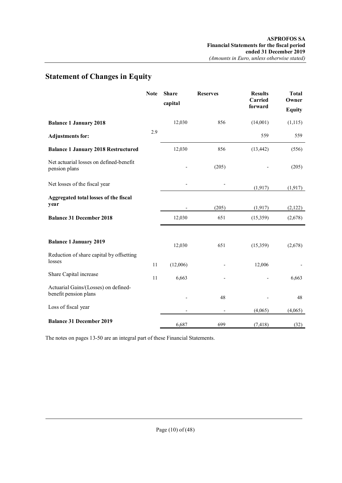# **Statement of Changes in Equity**

|                                                               | <b>Note</b> | <b>Share</b><br>capital | <b>Reserves</b> | <b>Results</b><br>Carried<br>forward | <b>Total</b><br>Owner<br><b>Equity</b> |
|---------------------------------------------------------------|-------------|-------------------------|-----------------|--------------------------------------|----------------------------------------|
| <b>Balance 1 January 2018</b>                                 |             | 12,030                  | 856             | (14,001)                             | (1, 115)                               |
| <b>Adjustments for:</b>                                       | 2.9         |                         |                 | 559                                  | 559                                    |
| <b>Balance 1 January 2018 Restructured</b>                    |             | 12,030                  | 856             | (13, 442)                            | (556)                                  |
| Net actuarial losses on defined-benefit<br>pension plans      |             |                         | (205)           |                                      | (205)                                  |
| Net losses of the fiscal year                                 |             |                         |                 | (1, 917)                             | (1, 917)                               |
| <b>Aggregated total losses of the fiscal</b><br>year          |             |                         | (205)           | (1, 917)                             | (2,122)                                |
| <b>Balance 31 December 2018</b>                               |             | 12,030                  | 651             | (15,359)                             | (2,678)                                |
| <b>Balance 1 January 2019</b>                                 |             | 12,030                  | 651             | (15,359)                             | (2,678)                                |
| Reduction of share capital by offsetting<br>losses            | 11          | (12,006)                |                 | 12,006                               |                                        |
| Share Capital increase                                        | 11          | 6,663                   |                 |                                      | 6,663                                  |
| Actuarial Gains/(Losses) on defined-<br>benefit pension plans |             |                         | 48              |                                      | 48                                     |
| Loss of fiscal year                                           |             |                         |                 | (4,065)                              | (4,065)                                |
| <b>Balance 31 December 2019</b>                               |             | 6,687                   | 699             | (7, 418)                             | (32)                                   |

The notes on pages 13-50 are an integral part of these Financial Statements.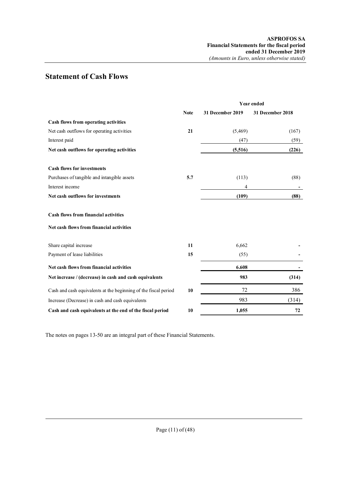# **Statement of Cash Flows**

|                                                                 |             | Year ended       |                  |  |
|-----------------------------------------------------------------|-------------|------------------|------------------|--|
|                                                                 | <b>Note</b> | 31 December 2019 | 31 December 2018 |  |
| Cash flows from operating activities                            |             |                  |                  |  |
| Net cash outflows for operating activities                      | 21          | (5,469)          | (167)            |  |
| Interest paid                                                   |             | (47)             | (59)             |  |
| Net cash outflows for operating activities                      |             | (5,516)          | (226)            |  |
| <b>Cash flows for investments</b>                               |             |                  |                  |  |
| Purchases of tangible and intangible assets                     | 5.7         | (113)            | (88)             |  |
| Interest income                                                 |             | 4                |                  |  |
| Net cash outflows for investments                               |             | (109)            | (88)             |  |
| <b>Cash flows from financial activities</b>                     |             |                  |                  |  |
| Net cash flows from financial activities                        |             |                  |                  |  |
| Share capital increase                                          | 11          | 6,662            |                  |  |
| Payment of lease liabilities                                    | 15          | (55)             |                  |  |
| Net cash flows from financial activities                        |             | 6.608            |                  |  |
| Net increase / (decrease) in cash and cash equivalents          |             | 983              | (314)            |  |
| Cash and cash equivalents at the beginning of the fiscal period | 10          | 72               | 386              |  |
| Increase (Decrease) in cash and cash equivalents                |             | 983              | (314)            |  |
| Cash and cash equivalents at the end of the fiscal period       | 10          | 1,055            | 72               |  |

The notes on pages 13-50 are an integral part of these Financial Statements.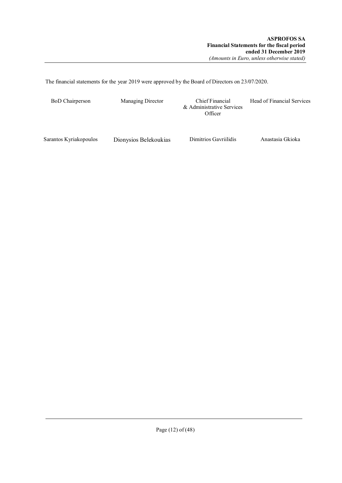The financial statements for the year 2019 were approved by the Board of Directors on 23/07/2020.

| <b>BoD</b> Chairperson | Managing Director     | Chief Financial<br>& Administrative Services<br>Officer | Head of Financial Services |
|------------------------|-----------------------|---------------------------------------------------------|----------------------------|
| Sarantos Kyriakopoulos | Dionysios Belekoukias | Dimitrios Gavrillidis                                   | Anastasia Gkioka           |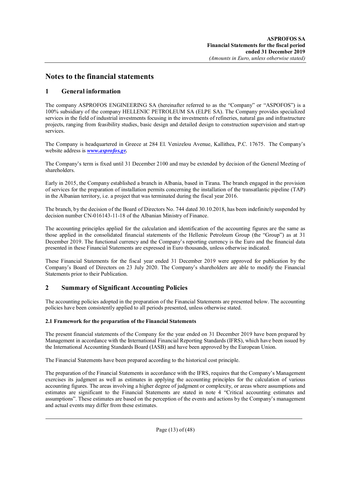# **Notes to the financial statements**

# **1 General information**

The company ASPROFOS ENGINEERING SA (hereinafter referred to as the "Company" or "ASPOFOS") is a 100% subsidiary of the company HELLENIC PETROLEUM SA (ELPE SA). The Company provides specialized services in the field of industrial investments focusing in the investments of refineries, natural gas and infrastructure projects, ranging from feasibility studies, basic design and detailed design to construction supervision and start-up services.

The Company is headquartered in Greece at 284 El. Venizelou Avenue, Kallithea, P.C. 17675. The Company's website address is *www.asprofos.gr.*

The Company's term is fixed until 31 December 2100 and may be extended by decision of the General Meeting of shareholders.

Early in 2015, the Company established a branch in Albania, based in Tirana. The branch engaged in the provision of services for the preparation of installation permits concerning the installation of the transatlantic pipeline (TAP) in the Albanian territory, i.e. a project that was terminated during the fiscal year 2016.

The branch, by the decision of the Board of Directors No. 744 dated 30.10.2018, has been indefinitely suspended by decision number CN-016143-11-18 of the Albanian Ministry of Finance.

The accounting principles applied for the calculation and identification of the accounting figures are the same as those applied in the consolidated financial statements of the Hellenic Petroleum Group (the "Group") as at 31 December 2019. The functional currency and the Company's reporting currency is the Euro and the financial data presented in these Financial Statements are expressed in Euro thousands, unless otherwise indicated.

These Financial Statements for the fiscal year ended 31 December 2019 were approved for publication by the Company's Board of Directors on 23 July 2020. The Company's shareholders are able to modify the Financial Statements prior to their Publication.

# **2 Summary of Significant Accounting Policies**

The accounting policies adopted in the preparation of the Financial Statements are presented below. The accounting policies have been consistently applied to all periods presented, unless otherwise stated.

# **2.1 Framework for the preparation of the Financial Statements**

The present financial statements of the Company for the year ended on 31 December 2019 have been prepared by Management in accordance with the International Financial Reporting Standards (IFRS), which have been issued by the International Accounting Standards Board (IASB) and have been approved by the European Union.

The Financial Statements have been prepared according to the historical cost principle.

The preparation of the Financial Statements in accordance with the IFRS, requires that the Company's Management exercises its judgment as well as estimates in applying the accounting principles for the calculation of various accounting figures. The areas involving a higher degree of judgment or complexity, or areas where assumptions and estimates are significant to the Financial Statements are stated in note 4 "Critical accounting estimates and assumptions". These estimates are based on the perception of the events and actions by the Company's management and actual events may differ from these estimates.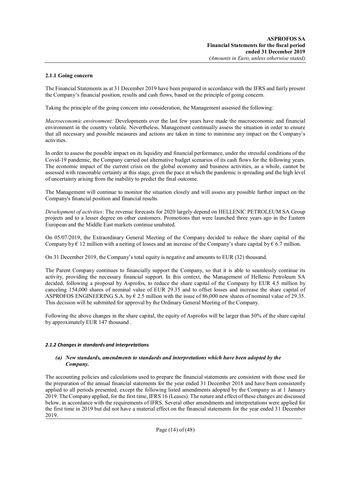## **2.1.1 Going concern**

The Financial Statements as at 31 December 2019 have been prepared in accordance with the IFRS and fairly present the Company's financial position, results and cash flows, based on the principle of going concern.

Taking the principle of the going concern into consideration, the Management assessed the following:

*Macroeconomic environment:* Developments over the last few years have made the macroeconomic and financial environment in the country volatile. Nevertheless, Management continually assess the situation in order to ensure that all necessary and possible measures and actions are taken in time to minimise any impact on the Company's activities.

In order to assess the possible impact on its liquidity and financial performance, under the stressful conditions of the Covid-19 pandemic, the Company carried out alternative budget scenarios of its cash flows for the following years. The economic impact of the current crisis on the global economy and business activities, as a whole, cannot be assessed with reasonable certainty at this stage, given the pace at which the pandemic is spreading and the high level of uncertainty arising from the inability to predict the final outcome.

The Management will continue to monitor the situation closely and will assess any possible further impact on the Company's financial position and financial results.

*Development of activities*: The revenue forecasts for 2020 largely depend on HELLENIC PETROLEUM SA Group projects and to a lesser degree on other customers. Promotions that were launched three years ago in the Eastern European and the Middle East markets continue unabated.

On 05/07/2019, the Extraordinary General Meeting of the Company decided to reduce the share capital of the Company by  $\epsilon$  12 million with a netting of losses and an increase of the Company's share capital by  $\epsilon$  6.7 million.

On 31 December 2019, the Company's total equity is negative and amounts to EUR (32) thousand.

The Parent Company continues to financially support the Company, so that it is able to seamlessly continue its activity, providing the necessary financial support. In this context, the Management of Hellenic Petroleum SA decided, following a proposal by Asprofos, to reduce the share capital of the Company by EUR 4.5 million by canceling 154,000 shares of nominal value of EUR 29.35 and to offset losses and increase the share capital of ASPROFOS ENGINEERING S.A. by  $\epsilon$  2.5 million with the issue of 86,000 new shares of nominal value of 29.35. This decision will be submitted for approval by the Ordinary General Meeting of the Company.

Following the above changes in the share capital, the equity of Asprofos will be larger than 50% of the share capital by approximately EUR 147 thousand .

#### *2.1.2 Changes in standards and interpretations*

#### *(a) New standards, amendments to standards and interpretations which have been adopted by the Company.*

The accounting policies and calculations used to prepare the financial statements are consistent with those used for the preparation of the annual financial statements for the year ended 31 December 2018 and have been consistently applied to all periods presented, except the following listed amendments adopted by the Company as at 1 January 2019. The Company applied, for the first time, IFRS 16 (Leases). The nature and effect of these changes are discussed below, in accordance with the requirements of IFRS. Several other amendments and interpretations were applied for the first time in 2019 but did not have a material effect on the financial statements for the year ended 31 December 2019.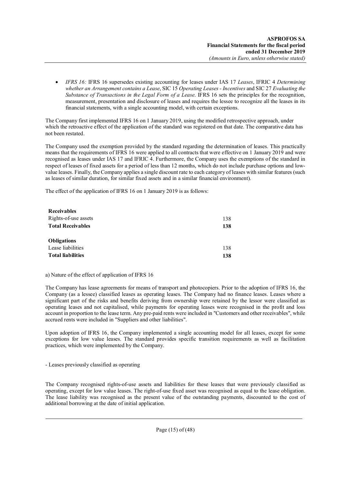*IFRS 16:* IFRS 16 supersedes existing accounting for leases under IAS 17 *Leases*, IFRIC 4 *Determining whether an Arrangement contains a Lease*, SIC 15 *Operating Leases - Incentives* and SIC 27 *Evaluating the Substance of Transactions in the Legal Form of a Lease*. IFRS 16 sets the principles for the recognition, measurement, presentation and disclosure of leases and requires the lessee to recognize all the leases in its financial statements, with a single accounting model, with certain exceptions.

The Company first implemented IFRS 16 on 1 January 2019, using the modified retrospective approach, under which the retroactive effect of the application of the standard was registered on that date. The comparative data has not been restated.

The Company used the exemption provided by the standard regarding the determination of leases. This practically means that the requirements of IFRS 16 were applied to all contracts that were effective on 1 January 2019 and were recognised as leases under IAS 17 and IFRIC 4. Furthermore, the Company uses the exemptions of the standard in respect of leases of fixed assets for a period of less than 12 months, which do not include purchase options and lowvalue leases. Finally, the Company applies a single discount rate to each category of leases with similar features (such as leases of similar duration, for similar fixed assets and in a similar financial environment).

The effect of the application of IFRS 16 on 1 January 2019 is as follows:

| <b>Receivables</b>       |     |
|--------------------------|-----|
| Rights-of-use assets     | 138 |
| <b>Total Receivables</b> | 138 |
| <b>Obligations</b>       |     |
| Lease liabilities        | 138 |
| <b>Total liabilities</b> | 138 |

#### a) Nature of the effect of application of IFRS 16

The Company has lease agreements for means of transport and photocopiers. Prior to the adoption of IFRS 16, the Company (as a lessee) classified leases as operating leases. The Company had no finance leases. Leases where a significant part of the risks and benefits deriving from ownership were retained by the lessor were classified as operating leases and not capitalised, while payments for operating leases were recognised in the profit and loss account in proportion to the lease term. Any pre-paid rents were included in "Customers and other receivables", while accrued rents were included in "Suppliers and other liabilities".

Upon adoption of IFRS 16, the Company implemented a single accounting model for all leases, except for some exceptions for low value leases. The standard provides specific transition requirements as well as facilitation practices, which were implemented by the Company.

- Leases previously classified as operating

The Company recognised rights-of-use assets and liabilities for these leases that were previously classified as operating, except for low value leases. The right-of-use fixed asset was recognised as equal to the lease obligation. The lease liability was recognised as the present value of the outstanding payments, discounted to the cost of additional borrowing at the date of initial application.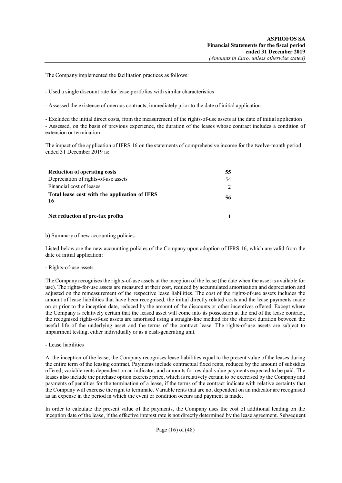The Company implemented the facilitation practices as follows:

- Used a single discount rate for lease portfolios with similar characteristics

- Assessed the existence of onerous contracts, immediately prior to the date of initial application

- Excluded the initial direct costs, from the measurement of the rights-of-use assets at the date of initial application - Assessed, on the basis of previous experience, the duration of the leases whose contract includes a condition of extension or termination

The impact of the application of IFRS 16 on the statements of comprehensive income for the twelve-month period ended 31 December 2019 is:

| <b>Reduction of operating costs</b>                 | 55.           |
|-----------------------------------------------------|---------------|
| Depreciation of rights-of-use assets                | 54            |
| Financial cost of leases                            | $\mathcal{L}$ |
| Total lease cost with the application of IFRS<br>16 | 56            |
| Net reduction of pre-tax profits                    |               |

b) Summary of new accounting policies

Listed below are the new accounting policies of the Company upon adoption of IFRS 16, which are valid from the date of initial application:

#### - Rights-of-use assets

The Company recognises the rights-of-use assets at the inception of the lease (the date when the asset is available for use). The rights-for-use assets are measured at their cost, reduced by accumulated amortisation and depreciation and adjusted on the remeasurement of the respective lease liabilities. The cost of the rights-of-use assets includes the amount of lease liabilities that have been recognised, the initial directly related costs and the lease payments made on or prior to the inception date, reduced by the amount of the discounts or other incentives offered. Except where the Company is relatively certain that the leased asset will come into its possession at the end of the lease contract, the recognised rights-of-use assets are amortised using a straight-line method for the shortest duration between the useful life of the underlying asset and the terms of the contract lease. The rights-of-use assets are subject to impairment testing, either individually or as a cash-generating unit.

- Lease liabilities

At the inception of the lease, the Company recognises lease liabilities equal to the present value of the leases during the entire term of the leasing contract. Payments include contractual fixed rents, reduced by the amount of subsidies offered, variable rents dependent on an indicator, and amounts for residual value payments expected to be paid. The leases also include the purchase option exercise price, which is relatively certain to be exercised by the Company and payments of penalties for the termination of a lease, if the terms of the contract indicate with relative certainty that the Company will exercise the right to terminate. Variable rents that are not dependent on an indicator are recognised as an expense in the period in which the event or condition occurs and payment is made.

In order to calculate the present value of the payments, the Company uses the cost of additional lending on the inception date of the lease, if the effective interest rate is not directly determined by the lease agreement. Subsequent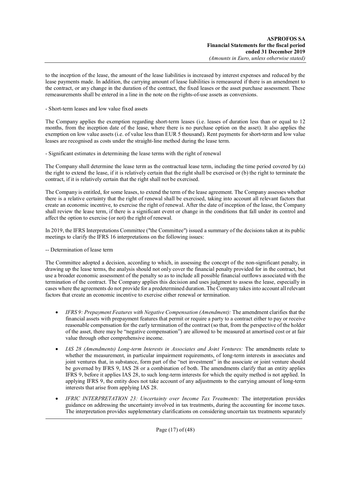to the inception of the lease, the amount of the lease liabilities is increased by interest expenses and reduced by the lease payments made. In addition, the carrying amount of lease liabilities is remeasured if there is an amendment to the contract, or any change in the duration of the contract, the fixed leases or the asset purchase assessment. These remeasurements shall be entered in a line in the note on the rights-of-use assets as conversions.

- Short-term leases and low value fixed assets

The Company applies the exemption regarding short-term leases (i.e. leases of duration less than or equal to 12 months, from the inception date of the lease, where there is no purchase option on the asset). It also applies the exemption on low value assets (i.e. of value less than EUR 5 thousand). Rent payments for short-term and low value leases are recognised as costs under the straight-line method during the lease term.

- Significant estimates in determining the lease terms with the right of renewal

The Company shall determine the lease term as the contractual lease term, including the time period covered by (a) the right to extend the lease, if it is relatively certain that the right shall be exercised or (b) the right to terminate the contract, if it is relatively certain that the right shall not be exercised.

The Company is entitled, for some leases, to extend the term of the lease agreement. The Company assesses whether there is a relative certainty that the right of renewal shall be exercised, taking into account all relevant factors that create an economic incentive, to exercise the right of renewal. After the date of inception of the lease, the Company shall review the lease term, if there is a significant event or change in the conditions that fall under its control and affect the option to exercise (or not) the right of renewal.

In 2019, the IFRS Interpretations Committee ("the Committee") issued a summary of the decisions taken at its public meetings to clarify the IFRS 16 interpretations on the following issues:

-- Determination of lease term

The Committee adopted a decision, according to which, in assessing the concept of the non-significant penalty, in drawing up the lease terms, the analysis should not only cover the financial penalty provided for in the contract, but use a broader economic assessment of the penalty so as to include all possible financial outflows associated with the termination of the contract. The Company applies this decision and uses judgment to assess the lease, especially in cases where the agreements do not provide for a predetermined duration. The Company takes into account all relevant factors that create an economic incentive to exercise either renewal or termination.

- *IFRS 9: Prepayment Features with Negative Compensation (Amendment):* The amendment clarifies that the financial assets with prepayment features that permit or require a party to a contract either to pay or receive reasonable compensation for the early termination of the contract (so that, from the perspective of the holder of the asset, there may be "negative compensation") are allowed to be measured at amortised cost or at fair value through other comprehensive income.
- *IAS 28 (Amendments) Long-term Interests in Associates and Joint Ventures:* The amendments relate to whether the measurement, in particular impairment requirements, of long-term interests in associates and joint ventures that, in substance, form part of the "net investment" in the associate or joint venture should be governed by IFRS 9, IAS 28 or a combination of both. The amendments clarify that an entity applies IFRS 9, before it applies IAS 28, to such long-term interests for which the equity method is not applied. In applying IFRS 9, the entity does not take account of any adjustments to the carrying amount of long-term interests that arise from applying IAS 28.
- *IFRIC INTERPRETATION 23: Uncertainty over Income Tax Treatments:* The interpretation provides guidance on addressing the uncertainty involved in tax treatments, during the accounting for income taxes. The interpretation provides supplementary clarifications on considering uncertain tax treatments separately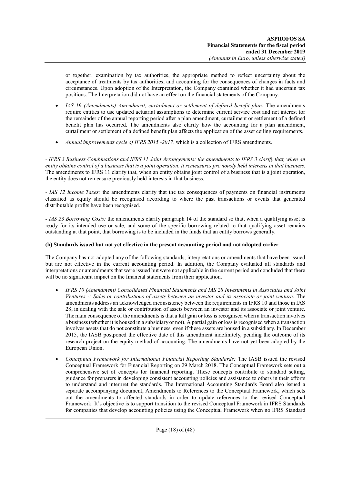or together, examination by tax authorities, the appropriate method to reflect uncertainty about the acceptance of treatments by tax authorities, and accounting for the consequences of changes in facts and circumstances. Upon adoption of the Interpretation, the Company examined whether it had uncertain tax positions. The Interpretation did not have an effect on the financial statements of the Company.

- *IAS 19 (Amendments) Amendment, curtailment or settlement of defined benefit plan:* The amendments require entities to use updated actuarial assumptions to determine current service cost and net interest for the remainder of the annual reporting period after a plan amendment, curtailment or settlement of a defined benefit plan has occurred. The amendments also clarify how the accounting for a plan amendment, curtailment or settlement of a defined benefit plan affects the application of the asset ceiling requirements.
- *Annual improvements cycle of IFRS 2015 -2017*, which is a collection of IFRS amendments.

*- IFRS 3 Business Combinations and IFRS 11 Joint Arrangements: the amendments to IFRS 3 clarify that, when an entity obtains control of a business that is a joint operation, it remeasures previously held interests in that business.* The amendments to IFRS 11 clarify that, when an entity obtains joint control of a business that is a joint operation, the entity does not remeasure previously held interests in that business.

*- IAS 12 Income Taxes:* the amendments clarify that the tax consequences of payments on financial instruments classified as equity should be recognised according to where the past transactions or events that generated distributable profits have been recognised.

*- IAS 23 Borrowing Costs:* the amendments clarify paragraph 14 of the standard so that, when a qualifying asset is ready for its intended use or sale, and some of the specific borrowing related to that qualifying asset remains outstanding at that point, that borrowing is to be included in the funds that an entity borrows generally.

# **(b) Standards issued but not yet effective in the present accounting period and not adopted earlier**

The Company has not adopted any of the following standards, interpretations or amendments that have been issued but are not effective in the current accounting period. In addition, the Company evaluated all standards and interpretations or amendments that were issued but were not applicable in the current period and concluded that there will be no significant impact on the financial statements from their application.

- *IFRS 10 (Amendment) Consolidated Financial Statements and IAS 28 Investments in Associates and Joint Ventures -: Sales or contributions of assets between an investor and its associate or joint venture:* The amendments address an acknowledged inconsistency between the requirements in IFRS 10 and those in IAS 28, in dealing with the sale or contribution of assets between an investor and its associate or joint venture. The main consequence of the amendments is that a full gain or loss is recognised when a transaction involves a business (whether it is housed in a subsidiary or not). A partial gain or loss is recognised when a transaction involves assets that do not constitute a business, even if these assets are housed in a subsidiary. In December 2015, the IASB postponed the effective date of this amendment indefinitely, pending the outcome of its research project on the equity method of accounting. The amendments have not yet been adopted by the European Union.
- *Conceptual Framework for International Financial Reporting Standards:* The IASB issued the revised Conceptual Framework for Financial Reporting on 29 March 2018. The Conceptual Framework sets out a comprehensive set of concepts for financial reporting. These concepts contribute to standard setting, guidance for preparers in developing consistent accounting policies and assistance to others in their efforts to understand and interpret the standards. The International Accounting Standards Board also issued a separate accompanying document, Amendments to References to the Conceptual Framework, which sets out the amendments to affected standards in order to update references to the revised Conceptual Framework. It's objective is to support transition to the revised Conceptual Framework in IFRS Standards for companies that develop accounting policies using the Conceptual Framework when no IFRS Standard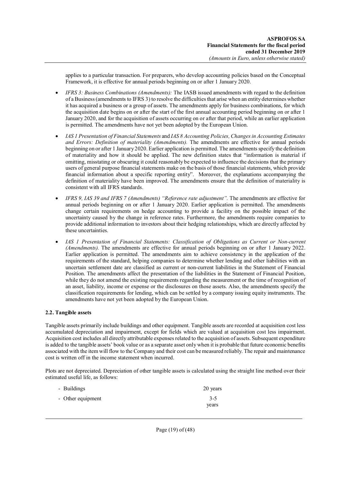applies to a particular transaction. For preparers, who develop accounting policies based on the Conceptual Framework, it is effective for annual periods beginning on or after 1 January 2020.

- *IFRS 3: Business Combinations (Amendments):* The IASB issued amendments with regard to the definition of a Business (amendments to IFRS 3) to resolve the difficulties that arise when an entity determines whether it has acquired a business or a group of assets. The amendments apply for business combinations, for which the acquisition date begins on or after the start of the first annual accounting period beginning on or after 1 January 2020, and for the acquisition of assets occurring on or after that period, while an earlier application is permitted. The amendments have not yet been adopted by the European Union.
- *IAS 1 Presentation of Financial Statements* and *IAS 8 Accounting Policies, Changes in Accounting Estimates and Errors: Definition of materiality (Amendments).* The amendments are effective for annual periods beginning on or after 1 January 2020. Earlier application is permitted. The amendments specify the definition of materiality and how it should be applied. The new definition states that "information is material if omitting, misstating or obscuring it could reasonably be expected to influence the decisions that the primary users of general purpose financial statements make on the basis of those financial statements, which provide financial information about a specific reporting entity". Moreover, the explanations accompanying the definition of materiality have been improved. The amendments ensure that the definition of materiality is consistent with all IFRS standards.
- *IFRS 9, IAS 39 and IFRS 7 (Amendments) "Reference rate adjustment".* The amendments are effective for annual periods beginning on or after 1 January 2020. Earlier application is permitted. The amendments change certain requirements on hedge accounting to provide a facility on the possible impact of the uncertainty caused by the change in reference rates. Furthermore, the amendments require companies to provide additional information to investors about their hedging relationships, which are directly affected by these uncertainties.
- *IAS 1 Presentation of Financial Statements: Classification of Obligations as Current or Non-current (Amendments).* The amendments are effective for annual periods beginning on or after 1 January 2022. Earlier application is permitted. The amendments aim to achieve consistency in the application of the requirements of the standard, helping companies to determine whether lending and other liabilities with an uncertain settlement date are classified as current or non-current liabilities in the Statement of Financial Position. The amendments affect the presentation of the liabilities in the Statement of Financial Position, while they do not amend the existing requirements regarding the measurement or the time of recognition of an asset, liability, income or expense or the disclosures on those assets. Also, the amendments specify the classification requirements for lending, which can be settled by a company issuing equity instruments. The amendments have not yet been adopted by the European Union.

# **2.2. Tangible assets**

Tangible assets primarily include buildings and other equipment. Tangible assets are recorded at acquisition cost less accumulated depreciation and impairment, except for fields which are valued at acquisition cost less impairment. Acquisition cost includes all directly attributable expenses related to the acquisition of assets. Subsequent expenditure is added to the tangible assets' book value or as a separate asset only when it is probable that future economic benefits associated with the item will flow to the Company and their cost can be measured reliably. The repair and maintenance cost is written off in the income statement when incurred.

Plots are not depreciated. Depreciation of other tangible assets is calculated using the straight line method over their estimated useful life, as follows:

| - Buildings       | 20 years |
|-------------------|----------|
| - Other equipment | $3 - 5$  |
|                   | years    |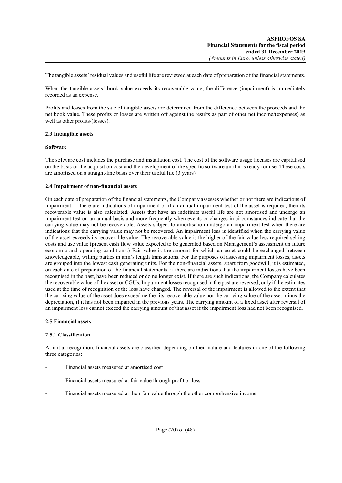The tangible assets' residual values and useful life are reviewed at each date of preparation of the financial statements.

When the tangible assets' book value exceeds its recoverable value, the difference (impairment) is immediately recorded as an expense.

Profits and losses from the sale of tangible assets are determined from the difference between the proceeds and the net book value. These profits or losses are written off against the results as part of other net income/(expenses) as well as other profits/(losses).

## **2.3 Intangible assets**

#### **Software**

The software cost includes the purchase and installation cost. The cost of the software usage licenses are capitalised on the basis of the acquisition cost and the development of the specific software until it is ready for use. These costs are amortised on a straight-line basis over their useful life (3 years).

## **2.4 Impairment of non-financial assets**

On each date of preparation of the financial statements, the Company assesses whether or not there are indications of impairment. If there are indications of impairment or if an annual impairment test of the asset is required, then its recoverable value is also calculated. Assets that have an indefinite useful life are not amortised and undergo an impairment test on an annual basis and more frequently when events or changes in circumstances indicate that the carrying value may not be recoverable. Assets subject to amortisation undergo an impairment test when there are indications that the carrying value may not be recovered. An impairment loss is identified when the carrying value of the asset exceeds its recoverable value. The recoverable value is the higher of the fair value less required selling costs and use value (present cash flow value expected to be generated based on Management's assessment on future economic and operating conditions.) Fair value is the amount for which an asset could be exchanged between knowledgeable, willing parties in arm's length transactions. For the purposes of assessing impairment losses, assets are grouped into the lowest cash generating units. For the non-financial assets, apart from goodwill, it is estimated, on each date of preparation of the financial statements, if there are indications that the impairment losses have been recognised in the past, have been reduced or do no longer exist. If there are such indications, the Company calculates the recoverable value of the asset or CGUs. Impairment losses recognised in the past are reversed, only if the estimates used at the time of recognition of the loss have changed. The reversal of the impairment is allowed to the extent that the carrying value of the asset does exceed neither its recoverable value nor the carrying value of the asset minus the depreciation, if it has not been impaired in the previous years. The carrying amount of a fixed asset after reversal of an impairment loss cannot exceed the carrying amount of that asset if the impairment loss had not been recognised.

#### **2.5 Financial assets**

# **2.5.1 Classification**

At initial recognition, financial assets are classified depending on their nature and features in one of the following three categories:

- Financial assets measured at amortised cost
- Financial assets measured at fair value through profit or loss
- Financial assets measured at their fair value through the other comprehensive income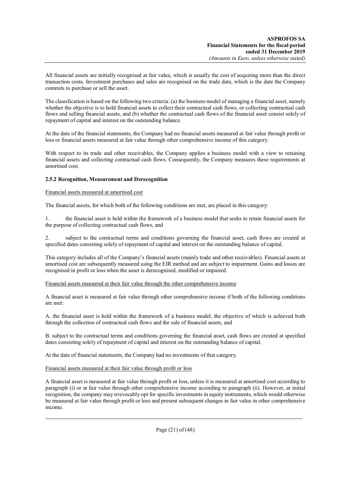All financial assets are initially recognised at fair value, which is usually the cost of acquiring more than the direct transaction costs. Investment purchases and sales are recognised on the trade date, which is the date the Company commits to purchase or sell the asset.

The classification is based on the following two criteria: (a) the business model of managing a financial asset, namely whether the objective is to hold financial assets to collect their contractual cash flows, or collecting contractual cash flows and selling financial assets, and (b) whether the contractual cash flows of the financial asset consist solely of repayment of capital and interest on the outstanding balance.

At the date of the financial statements, the Company had no financial assets measured at fair value through profit or loss or financial assets measured at fair value through other comprehensive income of this category.

With respect to its trade and other receivables, the Company applies a business model with a view to retaining financial assets and collecting contractual cash flows. Consequently, the Company measures these requirements at amortised cost.

# **2.5.2 Recognition, Measurement and Derecognition**

#### Financial assets measured at amortised cost

The financial assets, for which both of the following conditions are met, are placed in this category:

1. the financial asset is held within the framework of a business model that seeks to retain financial assets for the purpose of collecting contractual cash flows, and

2. subject to the contractual terms and conditions governing the financial asset, cash flows are created at specified dates consisting solely of repayment of capital and interest on the outstanding balance of capital.

This category includes all of the Company's financial assets (mainly trade and other receivables). Financial assets at amortised cost are subsequently measured using the EIR method and are subject to impairment. Gains and losses are recognised in profit or loss when the asset is derecognised, modified or impaired.

#### Financial assets measured at their fair value through the other comprehensive income

A financial asset is measured at fair value through other comprehensive income if both of the following conditions are met:

A. the financial asset is held within the framework of a business model, the objective of which is achieved both through the collection of contractual cash flows and the sale of financial assets, and

B. subject to the contractual terms and conditions governing the financial asset, cash flows are created at specified dates consisting solely of repayment of capital and interest on the outstanding balance of capital.

At the date of financial statements, the Company had no investments of that category.

#### Financial assets measured at their fair value through profit or loss

A financial asset is measured at fair value through profit or loss, unless it is measured at amortised cost according to paragraph (i) or at fair value through other comprehensive income according to paragraph (ii). However, at initial recognition, the company may irrevocably opt for specific investments in equity instruments, which would otherwise be measured at fair value through profit or loss and present subsequent changes in fair value in other comprehensive income.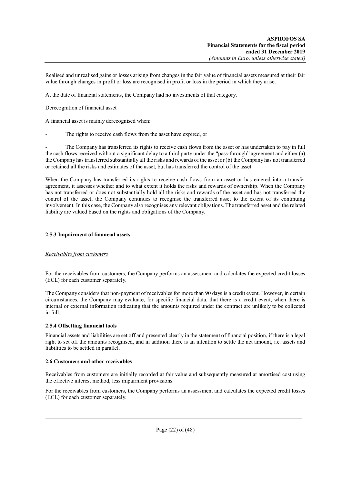Realised and unrealised gains or losses arising from changes in the fair value of financial assets measured at their fair value through changes in profit or loss are recognised in profit or loss in the period in which they arise.

At the date of financial statements, the Company had no investments of that category.

Derecognition of financial asset

A financial asset is mainly derecognised when:

The rights to receive cash flows from the asset have expired, or

The Company has transferred its rights to receive cash flows from the asset or has undertaken to pay in full the cash flows received without a significant delay to a third party under the "pass-through" agreement and either (a) the Company has transferred substantially all the risks and rewards of the asset or (b) the Company has not transferred or retained all the risks and estimates of the asset, but has transferred the control of the asset.

When the Company has transferred its rights to receive cash flows from an asset or has entered into a transfer agreement, it assesses whether and to what extent it holds the risks and rewards of ownership. When the Company has not transferred or does not substantially hold all the risks and rewards of the asset and has not transferred the control of the asset, the Company continues to recognise the transferred asset to the extent of its continuing involvement. In this case, the Company also recognises any relevant obligations. The transferred asset and the related liability are valued based on the rights and obligations of the Company.

## **2.5.3 Impairment of financial assets**

#### *Receivables from customers*

For the receivables from customers, the Company performs an assessment and calculates the expected credit losses (ECL) for each customer separately.

The Company considers that non-payment of receivables for more than 90 days is a credit event. However, in certain circumstances, the Company may evaluate, for specific financial data, that there is a credit event, when there is internal or external information indicating that the amounts required under the contract are unlikely to be collected in full.

# **2.5.4 Offsetting financial tools**

Financial assets and liabilities are set off and presented clearly in the statement of financial position, if there is a legal right to set off the amounts recognised, and in addition there is an intention to settle the net amount, i.e. assets and liabilities to be settled in parallel.

#### **2.6 Customers and other receivables**

Receivables from customers are initially recorded at fair value and subsequently measured at amortised cost using the effective interest method, less impairment provisions.

For the receivables from customers, the Company performs an assessment and calculates the expected credit losses (ECL) for each customer separately.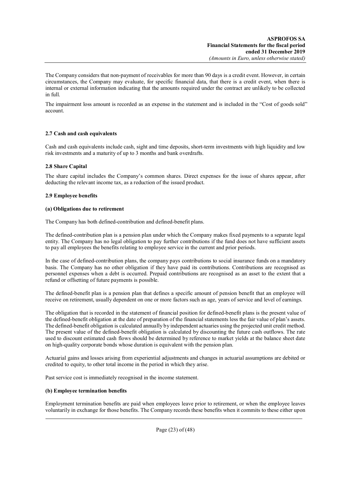The Company considers that non-payment of receivables for more than 90 days is a credit event. However, in certain circumstances, the Company may evaluate, for specific financial data, that there is a credit event, when there is internal or external information indicating that the amounts required under the contract are unlikely to be collected in full.

The impairment loss amount is recorded as an expense in the statement and is included in the "Cost of goods sold" account.

# **2.7 Cash and cash equivalents**

Cash and cash equivalents include cash, sight and time deposits, short-term investments with high liquidity and low risk investments and a maturity of up to 3 months and bank overdrafts.

# **2.8 Share Capital**

The share capital includes the Company's common shares. Direct expenses for the issue of shares appear, after deducting the relevant income tax, as a reduction of the issued product.

# **2.9 Employee benefits**

# **(a) Obligations due to retirement**

The Company has both defined-contribution and defined-benefit plans.

The defined-contribution plan is a pension plan under which the Company makes fixed payments to a separate legal entity. The Company has no legal obligation to pay further contributions if the fund does not have sufficient assets to pay all employees the benefits relating to employee service in the current and prior periods.

In the case of defined-contribution plans, the company pays contributions to social insurance funds on a mandatory basis. The Company has no other obligation if they have paid its contributions. Contributions are recognised as personnel expenses when a debt is occurred. Prepaid contributions are recognised as an asset to the extent that a refund or offsetting of future payments is possible.

The defined-benefit plan is a pension plan that defines a specific amount of pension benefit that an employee will receive on retirement, usually dependent on one or more factors such as age, years of service and level of earnings.

The obligation that is recorded in the statement of financial position for defined-benefit plans is the present value of the defined-benefit obligation at the date of preparation of the financial statements less the fair value of plan's assets. The defined-benefit obligation is calculated annually by independent actuaries using the projected unit credit method. The present value of the defined-benefit obligation is calculated by discounting the future cash outflows. The rate used to discount estimated cash flows should be determined by reference to market yields at the balance sheet date on high-quality corporate bonds whose duration is equivalent with the pension plan.

Actuarial gains and losses arising from experiential adjustments and changes in actuarial assumptions are debited or credited to equity, to other total income in the period in which they arise.

Past service cost is immediately recognised in the income statement.

# **(b) Employee termination benefits**

Employment termination benefits are paid when employees leave prior to retirement, or when the employee leaves voluntarily in exchange for those benefits. The Company records these benefits when it commits to these either upon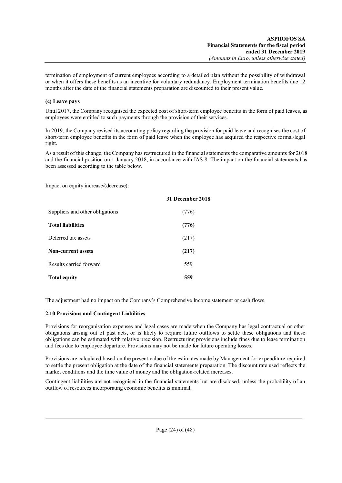termination of employment of current employees according to a detailed plan without the possibility of withdrawal or when it offers these benefits as an incentive for voluntary redundancy. Employment termination benefits due 12 months after the date of the financial statements preparation are discounted to their present value.

# **(c) Leave pays**

Until 2017, the Company recognised the expected cost of short-term employee benefits in the form of paid leaves, as employees were entitled to such payments through the provision of their services.

In 2019, the Company revised its accounting policy regarding the provision for paid leave and recognises the cost of short-term employee benefits in the form of paid leave when the employee has acquired the respective formal/legal right.

As a result of this change, the Company has restructured in the financial statements the comparative amounts for 2018 and the financial position on 1 January 2018, in accordance with IAS 8. The impact on the financial statements has been assessed according to the table below.

Impact on equity increase/(decrease):

|                                 | 31 December 2018 |
|---------------------------------|------------------|
| Suppliers and other obligations | (776)            |
| <b>Total liabilities</b>        | (776)            |
| Deferred tax assets             | (217)            |
| <b>Non-current assets</b>       | (217)            |
| Results carried forward         | 559              |
| <b>Total equity</b>             | 559              |

The adjustment had no impact on the Company's Comprehensive Income statement or cash flows.

#### **2.10 Provisions and Contingent Liabilities**

Provisions for reorganisation expenses and legal cases are made when the Company has legal contractual or other obligations arising out of past acts, or is likely to require future outflows to settle these obligations and these obligations can be estimated with relative precision. Restructuring provisions include fines due to lease termination and fees due to employee departure. Provisions may not be made for future operating losses.

Provisions are calculated based on the present value of the estimates made by Management for expenditure required to settle the present obligation at the date of the financial statements preparation. The discount rate used reflects the market conditions and the time value of money and the obligation-related increases.

Contingent liabilities are not recognised in the financial statements but are disclosed, unless the probability of an outflow of resources incorporating economic benefits is minimal.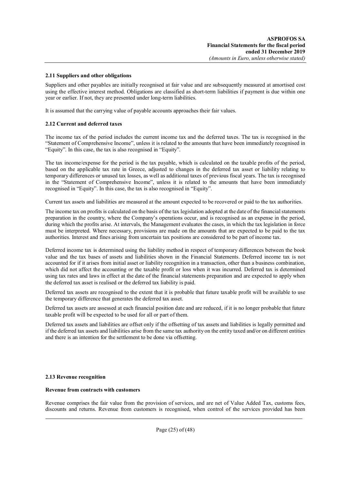### **2.11 Suppliers and other obligations**

Suppliers and other payables are initially recognised at fair value and are subsequently measured at amortised cost using the effective interest method. Obligations are classified as short-term liabilities if payment is due within one year or earlier. If not, they are presented under long-term liabilities.

It is assumed that the carrying value of payable accounts approaches their fair values.

## **2.12 Current and deferred taxes**

The income tax of the period includes the current income tax and the deferred taxes. The tax is recognised in the "Statement of Comprehensive Income", unless it is related to the amounts that have been immediately recognised in "Equity". In this case, the tax is also recognised in "Equity".

The tax income/expense for the period is the tax payable, which is calculated on the taxable profits of the period, based on the applicable tax rate in Greece, adjusted to changes in the deferred tax asset or liability relating to temporary differences or unused tax losses, as well as additional taxes of previous fiscal years. The tax is recognised in the "Statement of Comprehensive Income", unless it is related to the amounts that have been immediately recognised in "Equity". In this case, the tax is also recognised in "Equity".

Current tax assets and liabilities are measured at the amount expected to be recovered or paid to the tax authorities.

The income tax on profits is calculated on the basis of the tax legislation adopted at the date of the financial statements preparation in the country, where the Company's operations occur, and is recognised as an expense in the period, during which the profits arise. At intervals, the Management evaluates the cases, in which the tax legislation in force must be interpreted. Where necessary, provisions are made on the amounts that are expected to be paid to the tax authorities. Interest and fines arising from uncertain tax positions are considered to be part of income tax.

Deferred income tax is determined using the liability method in respect of temporary differences between the book value and the tax bases of assets and liabilities shown in the Financial Statements. Deferred income tax is not accounted for if it arises from initial asset or liability recognition in a transaction, other than a business combination, which did not affect the accounting or the taxable profit or loss when it was incurred. Deferred tax is determined using tax rates and laws in effect at the date of the financial statements preparation and are expected to apply when the deferred tax asset is realised or the deferred tax liability is paid.

Deferred tax assets are recognised to the extent that it is probable that future taxable profit will be available to use the temporary difference that generates the deferred tax asset.

Deferred tax assets are assessed at each financial position date and are reduced, if it is no longer probable that future taxable profit will be expected to be used for all or part of them.

Deferred tax assets and liabilities are offset only if the offsetting of tax assets and liabilities is legally permitted and if the deferred tax assets and liabilities arise from the same tax authority on the entity taxed and/or on different entities and there is an intention for the settlement to be done via offsetting.

#### **2.13 Revenue recognition**

#### **Revenue from contracts with customers**

Revenue comprises the fair value from the provision of services, and are net of Value Added Tax, customs fees, discounts and returns. Revenue from customers is recognised, when control of the services provided has been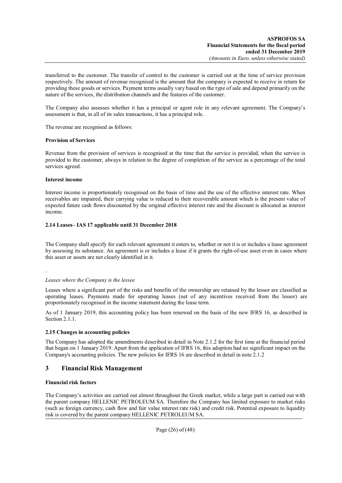transferred to the customer. The transfer of control to the customer is carried out at the time of service provision respectively. The amount of revenue recognised is the amount that the company is expected to receive in return for providing these goods or services. Payment terms usually vary based on the type of sale and depend primarily on the nature of the services, the distribution channels and the features of the customer.

The Company also assesses whether it has a principal or agent role in any relevant agreement. The Company's assessment is that, in all of its sales transactions, it has a principal role.

The revenue are recognised as follows:

## **Provision of Services**

Revenue from the provision of services is recognised at the time that the service is provided, when the service is provided to the customer, always in relation to the degree of completion of the service as a percentage of the total services agreed.

## **Interest income**

Interest income is proportionately recognised on the basis of time and the use of the effective interest rate. When receivables are impaired, their carrying value is reduced to their recoverable amount which is the present value of expected future cash flows discounted by the original effective interest rate and the discount is allocated as interest income.

# **2.14 Leases– IAS 17 applicable until 31 December 2018**

The Company shall specify for each relevant agreement it enters to, whether or not it is or includes a lease agreement by assessing its substance. An agreement is or includes a lease if it grants the right-of-use asset even in cases where this asset or assets are not clearly identified in it.

.

#### *Leases where the Company is the lessee*

Leases where a significant part of the risks and benefits of the ownership are retained by the lessor are classified as operating leases. Payments made for operating leases (net of any incentives received from the lessor) are proportionately recognised in the income statement during the lease term.

As of 1 January 2019, this accounting policy has been renewed on the basis of the new IFRS 16, as described in Section 2.1.1.

# **2.15 Changes in accounting policies**

The Company has adopted the amendments described in detail in Note 2.1.2 for the first time at the financial period that began on 1 January 2019. Apart from the application of IFRS 16, this adoption had no significant impact on the Company's accounting policies. The new policies for IFRS 16 are described in detail in note 2.1.2

# **3 Financial Risk Management**

# **Financial risk factors**

The Company's activities are carried out almost throughout the Greek market, while a large part is carried out with the parent company HELLENIC PETROLEUM SA. Therefore the Company has limited exposure to market risks (such as foreign currency, cash flow and fair value interest rate risk) and credit risk. Potential exposure to liquidity risk is covered by the parent company HELLENIC PETROLEUM SA.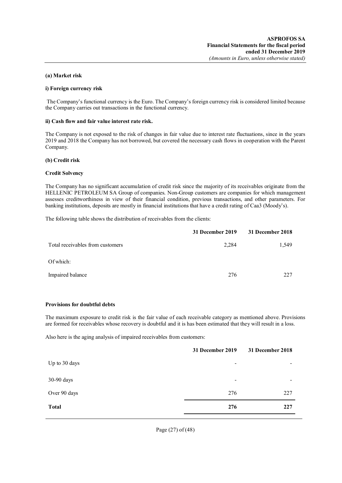#### **(a) Market risk**

#### **i) Foreign currency risk**

The Company's functional currency is the Euro. The Company's foreign currency risk is considered limited because the Company carries out transactions in the functional currency.

#### **ii) Cash flow and fair value interest rate risk.**

The Company is not exposed to the risk of changes in fair value due to interest rate fluctuations, since in the years 2019 and 2018 the Company has not borrowed, but covered the necessary cash flows in cooperation with the Parent Company.

#### **(b) Credit risk**

#### **Credit Solvency**

The Company has no significant accumulation of credit risk since the majority of its receivables originate from the HELLENIC PETROLEUM SA Group of companies. Non-Group customers are companies for which management assesses creditworthiness in view of their financial condition, previous transactions, and other parameters. For banking institutions, deposits are mostly in financial institutions that have a credit rating of Caa3 (Moody's).

The following table shows the distribution of receivables from the clients:

|                                  | 31 December 2019 | 31 December 2018 |
|----------------------------------|------------------|------------------|
| Total receivables from customers | 2,284            | 1,549            |
| Of which:                        |                  |                  |
| Impaired balance                 | 276              | 227              |

#### **Provisions for doubtful debts**

The maximum exposure to credit risk is the fair value of each receivable category as mentioned above. Provisions are formed for receivables whose recovery is doubtful and it is has been estimated that they will result in a loss.

Also here is the aging analysis of impaired receivables from customers:

|               | 31 December 2019             | 31 December 2018             |
|---------------|------------------------------|------------------------------|
| Up to 30 days |                              |                              |
| 30-90 days    | $\qquad \qquad \blacksquare$ | $\qquad \qquad \blacksquare$ |
| Over 90 days  | 276                          | 227                          |
| <b>Total</b>  | 276                          | 227                          |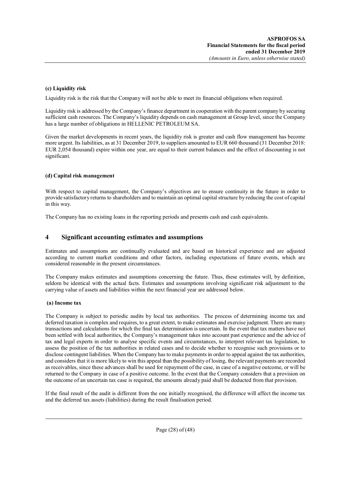# **(c) Liquidity risk**

Liquidity risk is the risk that the Company will not be able to meet its financial obligations when required.

Liquidity risk is addressed by the Company's finance department in cooperation with the parent company by securing sufficient cash resources. The Company's liquidity depends on cash management at Group level, since the Company has a large number of obligations in HELLENIC PETROLEUM SA.

Given the market developments in recent years, the liquidity risk is greater and cash flow management has become more urgent. Its liabilities, as at 31 December 2019, to suppliers amounted to EUR 660 thousand (31 December 2018: EUR 2,054 thousand) expire within one year, are equal to their current balances and the effect of discounting is not significant.

# **(d) Capital risk management**

With respect to capital management, the Company's objectives are to ensure continuity in the future in order to provide satisfactory returns to shareholders and to maintain an optimal capital structure by reducing the cost of capital in this way.

The Company has no existing loans in the reporting periods and presents cash and cash equivalents.

# **4 Significant accounting estimates and assumptions**

Estimates and assumptions are continually evaluated and are based on historical experience and are adjusted according to current market conditions and other factors, including expectations of future events, which are considered reasonable in the present circumstances.

The Company makes estimates and assumptions concerning the future. Thus, these estimates will, by definition, seldom be identical with the actual facts. Estimates and assumptions involving significant risk adjustment to the carrying value of assets and liabilities within the next financial year are addressed below.

#### **(a) Income tax**

The Company is subject to periodic audits by local tax authorities. The process of determining income tax and deferred taxation is complex and requires, to a great extent, to make estimates and exercise judgment. There are many transactions and calculations for which the final tax determination is uncertain. In the event that tax matters have not been settled with local authorities, the Company's management takes into account past experience and the advice of tax and legal experts in order to analyse specific events and circumstances, to interpret relevant tax legislation, to assess the position of the tax authorities in related cases and to decide whether to recognise such provisions or to disclose contingent liabilities. When the Company has to make payments in order to appeal against the tax authorities, and considers that it is more likely to win this appeal than the possibility of losing, the relevant payments are recorded as receivables, since these advances shall be used for repayment of the case, in case of a negative outcome, or will be returned to the Company in case of a positive outcome. In the event that the Company considers that a provision on the outcome of an uncertain tax case is required, the amounts already paid shall be deducted from that provision.

If the final result of the audit is different from the one initially recognised, the difference will affect the income tax and the deferred tax assets (liabilities) during the result finalisation period.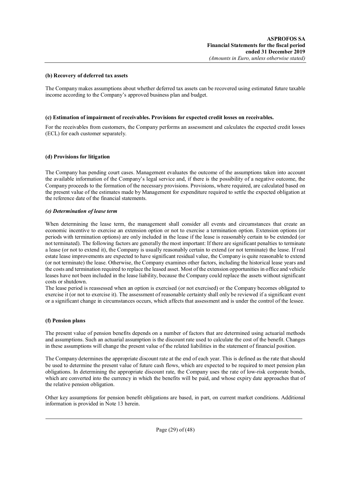#### **(b) Recovery of deferred tax assets**

The Company makes assumptions about whether deferred tax assets can be recovered using estimated future taxable income according to the Company's approved business plan and budget.

### **(c) Estimation of impairment of receivables. Provisions for expected credit losses on receivables.**

For the receivables from customers, the Company performs an assessment and calculates the expected credit losses (ECL) for each customer separately.

## **(d) Provisions for litigation**

The Company has pending court cases. Management evaluates the outcome of the assumptions taken into account the available information of the Company's legal service and, if there is the possibility of a negative outcome, the Company proceeds to the formation of the necessary provisions. Provisions, where required, are calculated based on the present value of the estimates made by Management for expenditure required to settle the expected obligation at the reference date of the financial statements.

#### *(e) Determination of lease term*

When determining the lease term, the management shall consider all events and circumstances that create an economic incentive to exercise an extension option or not to exercise a termination option. Extension options (or periods with termination options) are only included in the lease if the lease is reasonably certain to be extended (or not terminated). The following factors are generally the most important: If there are significant penalties to terminate a lease (or not to extend it), the Company is usually reasonably certain to extend (or not terminate) the lease. If real estate lease improvements are expected to have significant residual value, the Company is quite reasonable to extend (or not terminate) the lease. Otherwise, the Company examines other factors, including the historical lease years and the costs and termination required to replace the leased asset. Most of the extension opportunities in office and vehicle leases have not been included in the lease liability, because the Company could replace the assets without significant costs or shutdown.

The lease period is reassessed when an option is exercised (or not exercised) or the Company becomes obligated to exercise it (or not to exercise it). The assessment of reasonable certainty shall only be reviewed if a significant event or a significant change in circumstances occurs, which affects that assessment and is under the control of the lessee.

#### **(f) Pension plans**

The present value of pension benefits depends on a number of factors that are determined using actuarial methods and assumptions. Such an actuarial assumption is the discount rate used to calculate the cost of the benefit. Changes in these assumptions will change the present value of the related liabilities in the statement of financial position.

The Company determines the appropriate discount rate at the end of each year. This is defined as the rate that should be used to determine the present value of future cash flows, which are expected to be required to meet pension plan obligations. In determining the appropriate discount rate, the Company uses the rate of low-risk corporate bonds, which are converted into the currency in which the benefits will be paid, and whose expiry date approaches that of the relative pension obligation.

Other key assumptions for pension benefit obligations are based, in part, on current market conditions. Additional information is provided in Note 13 herein.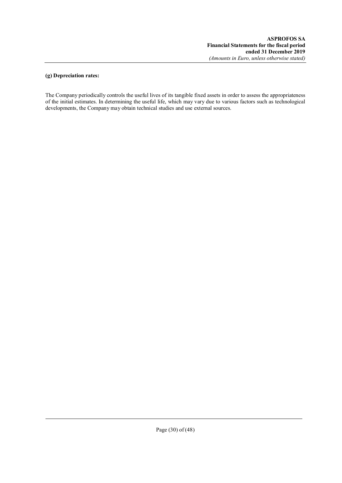## **(g) Depreciation rates:**

The Company periodically controls the useful lives of its tangible fixed assets in order to assess the appropriateness of the initial estimates. In determining the useful life, which may vary due to various factors such as technological developments, the Company may obtain technical studies and use external sources.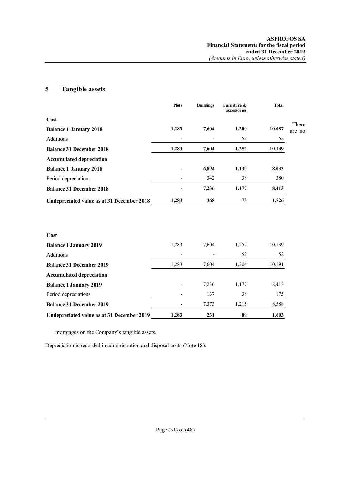# **5 Tangible assets**

|                                            | <b>Plots</b> | <b>Buildings</b> | Furniture &<br>accessories | <b>Total</b> |        |
|--------------------------------------------|--------------|------------------|----------------------------|--------------|--------|
| Cost                                       |              |                  |                            |              | There  |
| <b>Balance 1 January 2018</b>              | 1,283        | 7,604            | 1,200                      | 10,087       | are no |
| Additions                                  |              |                  | 52                         | 52           |        |
| <b>Balance 31 December 2018</b>            | 1,283        | 7,604            | 1,252                      | 10,139       |        |
| <b>Accumulated depreciation</b>            |              |                  |                            |              |        |
| <b>Balance 1 January 2018</b>              |              | 6,894            | 1,139                      | 8,033        |        |
| Period depreciations                       |              | 342              | 38                         | 380          |        |
| <b>Balance 31 December 2018</b>            |              | 7,236            | 1,177                      | 8,413        |        |
| Undepreciated value as at 31 December 2018 | 1,283        | 368              | 75                         | 1,726        |        |
|                                            |              |                  |                            |              |        |
| Cost                                       |              |                  |                            |              |        |
| <b>Balance 1 January 2019</b>              | 1,283        | 7,604            | 1,252                      | 10,139       |        |
| Additions                                  |              |                  | 52                         | 52           |        |
| <b>Balance 31 December 2019</b>            | 1,283        | 7,604            | 1,304                      | 10,191       |        |
| <b>Accumulated depreciation</b>            |              |                  |                            |              |        |
| <b>Balance 1 January 2019</b>              |              | 7,236            | 1,177                      | 8,413        |        |
| Period depreciations                       |              | 137              | 38                         | 175          |        |
| <b>Balance 31 December 2019</b>            |              | 7,373            | 1,215                      | 8,588        |        |

**Undepreciated value as at 31 December 2019 1,283 231 89 1,603**

mortgages on the Company's tangible assets.

Depreciation is recorded in administration and disposal costs (Note 18).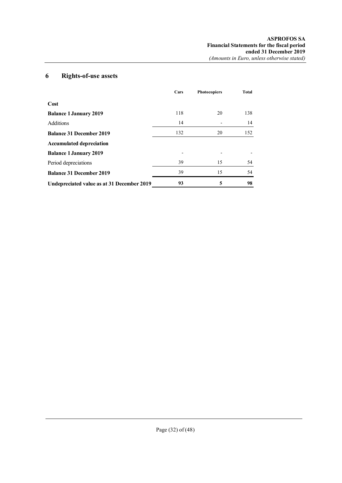# **6 Rights-of-use assets**

|                                            | Cars | <b>Photocopiers</b> | Total |
|--------------------------------------------|------|---------------------|-------|
| Cost                                       |      |                     |       |
| <b>Balance 1 January 2019</b>              | 118  | 20                  | 138   |
| Additions                                  | 14   |                     | 14    |
| <b>Balance 31 December 2019</b>            | 132  | 20                  | 152   |
| <b>Accumulated depreciation</b>            |      |                     |       |
| <b>Balance 1 January 2019</b>              |      | $\overline{a}$      |       |
| Period depreciations                       | 39   | 15                  | 54    |
| <b>Balance 31 December 2019</b>            | 39   | 15                  | 54    |
| Undepreciated value as at 31 December 2019 | 93   | 5                   | 98    |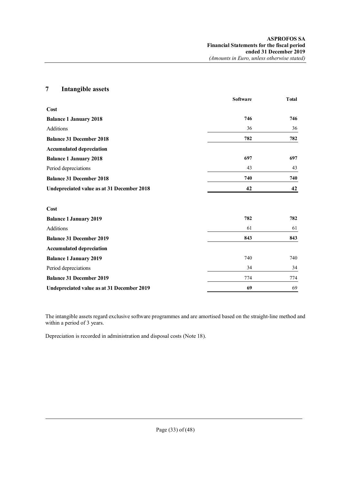# **7 Intangible assets Software Total Cost Balance 1 January 2018 746 746** Additions 36 36 36 **Balance 31 December 2018 782 782 Accumulated depreciation Balance 1 January 2018 697 697** Period depreciations 43 43 **Balance 31 December 2018 740 740 Undepreciated value as at 31 December 2018 42 42 Cost Balance 1 January 2019 782 782** Additions 61 61 **Balance 31 December 2019 843 843 Accumulated depreciation Balance 1 January 2019** 740 740 Period depreciations 34 34 34 **Balance 31 December 2019** 774 774 774 **Undepreciated value as at 31 December 2019 69** 69

The intangible assets regard exclusive software programmes and are amortised based on the straight-line method and within a period of 3 years.

Depreciation is recorded in administration and disposal costs (Note 18).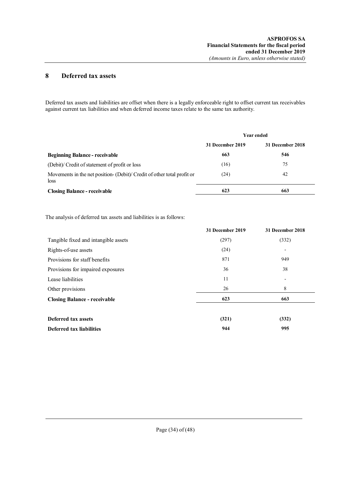# **8 Deferred tax assets**

Deferred tax assets and liabilities are offset when there is a legally enforceable right to offset current tax receivables against current tax liabilities and when deferred income taxes relate to the same tax authority.

|                                                                                | <b>Year ended</b> |                  |  |
|--------------------------------------------------------------------------------|-------------------|------------------|--|
|                                                                                | 31 December 2019  | 31 December 2018 |  |
| <b>Beginning Balance - receivable</b>                                          | 663               | 546              |  |
| (Debit) Credit of statement of profit or loss                                  | (16)              | 75               |  |
| Movements in the net position- (Debit) Credit of other total profit or<br>loss | (24)              | 42               |  |
| <b>Closing Balance - receivable</b>                                            | 623               | 663              |  |

The analysis of deferred tax assets and liabilities is as follows:

|                                      | 31 December 2019 | 31 December 2018         |
|--------------------------------------|------------------|--------------------------|
| Tangible fixed and intangible assets | (297)            | (332)                    |
| Rights-of-use assets                 | (24)             | $\overline{\phantom{a}}$ |
| Provisions for staff benefits        | 871              | 949                      |
| Provisions for impaired exposures    | 36               | 38                       |
| Lease liabilities                    | 11               | $\overline{\phantom{a}}$ |
| Other provisions                     | 26               | 8                        |
| <b>Closing Balance - receivable</b>  | 623              | 663                      |
|                                      |                  |                          |
| <b>Deferred tax assets</b>           | (321)            | (332)                    |
| Deferred tax liabilities             | 944              | 995                      |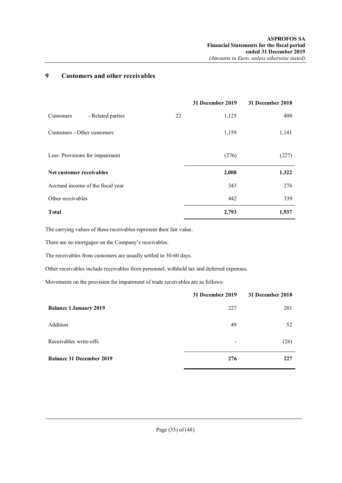# **9 Customers and other receivables**

|                                   |                   |    | 31 December 2019 | 31 December 2018 |
|-----------------------------------|-------------------|----|------------------|------------------|
| Customers                         | - Related parties | 22 | 1,125            | 408              |
| Customers - Other customers       |                   |    | 1,159            | 1,141            |
| Less: Provisions for impairment   |                   |    | (276)            | (227)            |
| Net customer receivables          |                   |    | 2,008            | 1,322            |
| Accrued income of the fiscal year |                   |    | 343              | 276              |
| Other receivables                 |                   |    | 442              | 339              |
| <b>Total</b>                      |                   |    | 2,793            | 1,937            |

The carrying values of these receivables represent their fair value.

There are no mortgages on the Company's receivables.

The receivables from customers are usually settled in 30-60 days.

Other receivables include receivables from personnel, withheld tax and deferred expenses.

Movements on the provision for impairment of trade receivables are as follows:

|                                 | 31 December 2019 | 31 December 2018 |
|---------------------------------|------------------|------------------|
| <b>Balance 1 January 2019</b>   | 227              | 201              |
| Addition                        | 49               | 52               |
| Receivables write-offs          |                  | (26)             |
| <b>Balance 31 December 2019</b> | 276              | 227              |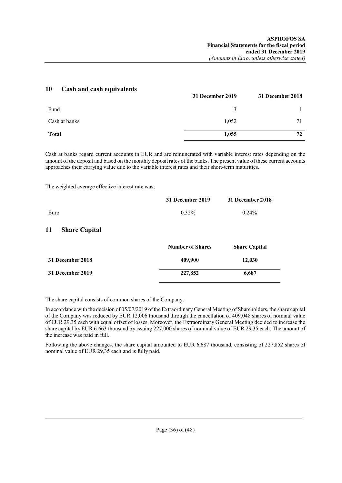| 1V.<br>Casii and casii equivalents | 31 December 2019 | 31 December 2018 |
|------------------------------------|------------------|------------------|
| Fund                               | 3                |                  |
| Cash at banks                      | 1,052            |                  |
| <b>Total</b>                       | 1,055            |                  |

Cash at banks regard current accounts in EUR and are remunerated with variable interest rates depending on the amount of the deposit and based on the monthly deposit rates of the banks. The present value of these current accounts approaches their carrying value due to the variable interest rates and their short-term maturities.

The weighted average effective interest rate was:

**10 Cash and cash equivalents**

|                            | 31 December 2019        | 31 December 2018     |
|----------------------------|-------------------------|----------------------|
| Euro                       | $0.32\%$                | $0.24\%$             |
| 11<br><b>Share Capital</b> |                         |                      |
|                            | <b>Number of Shares</b> | <b>Share Capital</b> |
| 31 December 2018           | 409,900                 | 12,030               |
| 31 December 2019           | 227,852                 | 6,687                |

The share capital consists of common shares of the Company.

In accordance with the decision of 05/07/2019 of the Extraordinary General Meeting of Shareholders, the share capital of the Company was reduced by EUR 12,006 thousand through the cancellation of 409,048 shares of nominal value of EUR 29.35 each with equal offset of losses. Moreover, the Extraordinary General Meeting decided to increase the share capital by EUR 6,663 thousand by issuing 227,000 shares of nominal value of EUR 29.35 each. The amount of the increase was paid in full.

Following the above changes, the share capital amounted to EUR 6,687 thousand, consisting of 227,852 shares of nominal value of EUR 29,35 each and is fully paid.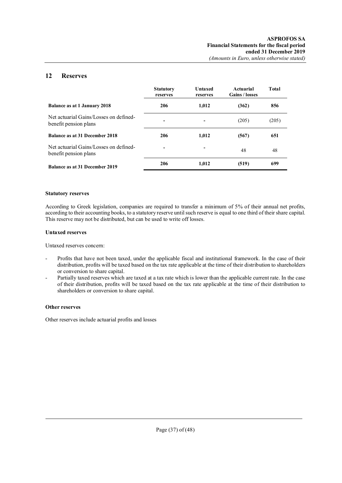# **12 Reserves**

|                                                                 | <b>Statutory</b><br>reserves | Untaxed<br>reserves | Actuarial<br><b>Gains / losses</b> | Total |
|-----------------------------------------------------------------|------------------------------|---------------------|------------------------------------|-------|
| <b>Balance as at 1 January 2018</b>                             | 206                          | 1,012               | (362)                              | 856   |
| Net actuarial Gains/Losses on defined-<br>benefit pension plans | -                            |                     | (205)                              | (205) |
| Balance as at 31 December 2018                                  | 206                          | 1,012               | (567)                              | 651   |
| Net actuarial Gains/Losses on defined-<br>benefit pension plans | $\blacksquare$               |                     | 48                                 | 48    |
| Balance as at 31 December 2019                                  | 206                          | 1,012               | (519)                              | 699   |

### **Statutory reserves**

According to Greek legislation, companies are required to transfer a minimum of 5% of their annual net profits, according to their accounting books, to a statutory reserve until such reserve is equal to one third of their share capital. This reserve may not be distributed, but can be used to write off losses.

#### **Untaxed reserves**

Untaxed reserves concern:

- Profits that have not been taxed, under the applicable fiscal and institutional framework. In the case of their distribution, profits will be taxed based on the tax rate applicable at the time of their distribution to shareholders or conversion to share capital.
- Partially taxed reserves which are taxed at a tax rate which is lower than the applicable current rate. In the case of their distribution, profits will be taxed based on the tax rate applicable at the time of their distribution to shareholders or conversion to share capital.

#### **Other reserves**

Other reserves include actuarial profits and losses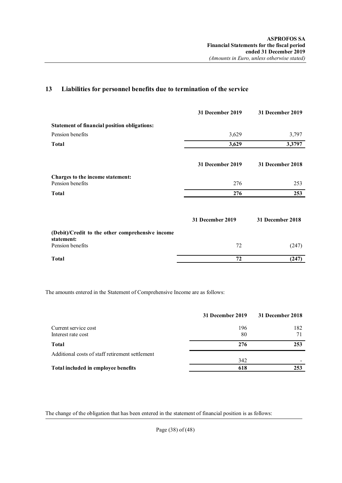# **13 Liabilities for personnel benefits due to termination of the service**

|                                                                | 31 December 2019 | 31 December 2019 |
|----------------------------------------------------------------|------------------|------------------|
| <b>Statement of financial position obligations:</b>            |                  |                  |
| Pension benefits                                               | 3,629            | 3,797            |
| Total                                                          | 3,629            | 3,3797           |
|                                                                | 31 December 2019 | 31 December 2018 |
| Charges to the income statement:<br>Pension benefits           | 276              | 253              |
| Total                                                          | 276              | 253              |
|                                                                | 31 December 2019 | 31 December 2018 |
| (Debit)/Credit to the other comprehensive income<br>statement: |                  |                  |
| Pension benefits                                               | 72               | (247)            |
| Total                                                          | 72               | (247)            |

The amounts entered in the Statement of Comprehensive Income are as follows:

|                                                 | 31 December 2019 | 31 December 2018 |
|-------------------------------------------------|------------------|------------------|
| Current service cost                            | 196              | 182              |
| Interest rate cost                              | 80               | 71               |
| <b>Total</b>                                    | 276              | 253              |
| Additional costs of staff retirement settlement |                  |                  |
|                                                 | 342              |                  |
| Total included in employee benefits             | 618              | 253              |

The change of the obligation that has been entered in the statement of financial position is as follows:

Page (38) of (48)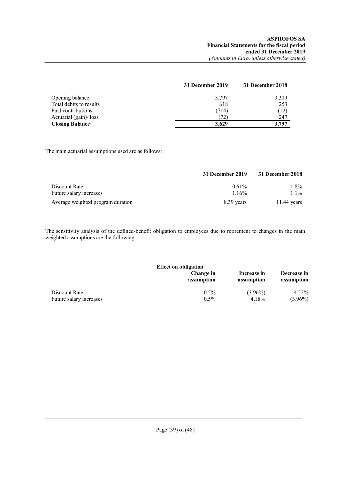|                         | 31 December 2019 | 31 December 2018 |
|-------------------------|------------------|------------------|
| Opening balance         | 3,797            | 3.309            |
| Total debits to results | 618              | 253              |
| Paid contributions      | (714)            | (12)             |
| Actuarial (gain)/ loss  | (72)             | 247              |
| <b>Closing Balance</b>  | 3.629            | 3.797            |

The main actuarial assumptions used are as follows:

|                                          | 31 December 2019  | 31 December 2018 |
|------------------------------------------|-------------------|------------------|
| Discount Rate<br>Future salary increases | $0.61\%$<br>1.16% | 1.8%<br>$1.1\%$  |
| Average weighted program duration        | 8.39 years        | $11.44$ years    |

The sensitivity analysis of the defined-benefit obligation to employees due to retirement to changes in the main weighted assumptions are the following:

| <b>Effect on obligation</b> |                         |                           |                           |  |
|-----------------------------|-------------------------|---------------------------|---------------------------|--|
|                             | Change in<br>assumption | Increase in<br>assumption | Decrease in<br>assumption |  |
| Discount Rate               | $0.5\%$                 | $(3.96\%)$                | $4.22\%$                  |  |
| Future salary increases     | $0.5\%$                 | 4.18%                     | $(3.96\%)$                |  |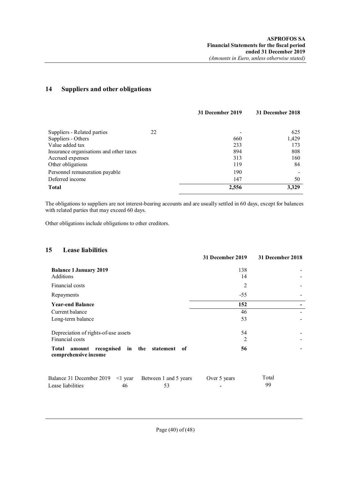# **14 Suppliers and other obligations**

|                                         | 31 December 2019 | 31 December 2018 |
|-----------------------------------------|------------------|------------------|
|                                         |                  |                  |
| Suppliers - Related parties<br>22       |                  | 625              |
| Suppliers - Others                      | 660              | 1,429            |
| Value added tax                         | 233              | 173              |
| Insurance organisations and other taxes | 894              | 808              |
| Accrued expenses                        | 313              | 160              |
| Other obligations                       | 119              | 84               |
| Personnel remuneration payable          | 190              |                  |
| Deferred income                         | 147              | 50               |
| <b>Total</b>                            | 2,556            | 3.329            |

The obligations to suppliers are not interest-bearing accounts and are usually settled in 60 days, except for balances with related parties that may exceed 60 days.

Other obligations include obligations to other creditors.

# **15 Lease liabilities**

|                                                                           | 31 December 2019 | 31 December 2018 |
|---------------------------------------------------------------------------|------------------|------------------|
| <b>Balance 1 January 2019</b><br>Additions                                | 138<br>14        |                  |
| Financial costs                                                           | 2                |                  |
| Repayments                                                                | $-55$            |                  |
| <b>Year-end Balance</b>                                                   | 152              |                  |
| Current balance                                                           | 46               |                  |
| Long-term balance                                                         | 53               |                  |
| Depreciation of rights-of-use assets<br>Financial costs                   | 54<br>2          |                  |
|                                                                           |                  |                  |
| recognised in the statement of<br>Total<br>amount<br>comprehensive income | 56               |                  |

| Balance 31 December 2019 <1 year Between 1 and 5 years |    | Over 5 years | Total |
|--------------------------------------------------------|----|--------------|-------|
| Lease liabilities                                      | 46 |              | 99    |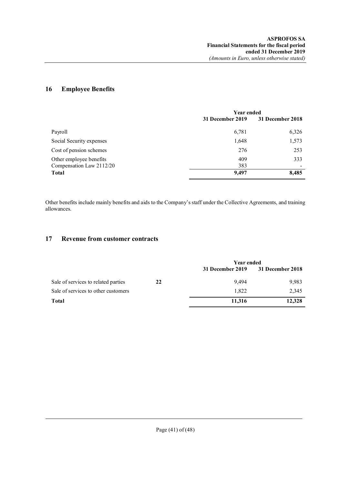# **16 Employee Benefits**

|                                                     | <b>Year ended</b> |                  |
|-----------------------------------------------------|-------------------|------------------|
|                                                     | 31 December 2019  | 31 December 2018 |
| Payroll                                             | 6,781             | 6,326            |
| Social Security expenses                            | 1,648             | 1,573            |
| Cost of pension schemes                             | 276               | 253              |
| Other employee benefits<br>Compensation Law 2112/20 | 409<br>383        | 333              |
| <b>Total</b>                                        | 9,497             | 8,485            |

Other benefits include mainly benefits and aids to the Company's staff under the Collective Agreements, and training allowances.

# **17 Revenue from customer contracts**

|                                     |    | <b>Year ended</b> |                  |
|-------------------------------------|----|-------------------|------------------|
|                                     |    | 31 December 2019  | 31 December 2018 |
| Sale of services to related parties | 22 | 9.494             | 9,983            |
| Sale of services to other customers |    | 1.822             | 2,345            |
| Total                               |    | 11.316            | 12,328           |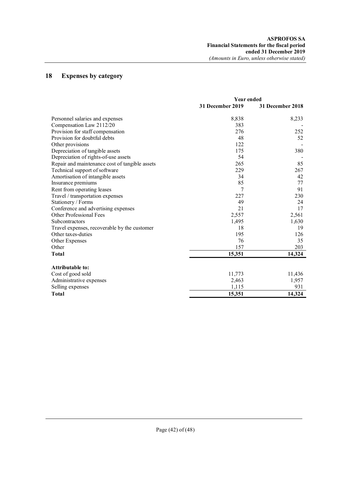# **18 Expenses by category**

|                                                | <b>Year ended</b> |                  |
|------------------------------------------------|-------------------|------------------|
|                                                | 31 December 2019  | 31 December 2018 |
| Personnel salaries and expenses                | 8,838             | 8,233            |
| Compensation Law 2112/20                       | 383               |                  |
| Provision for staff compensation               | 276               | 252              |
| Provision for doubtful debts                   | 48                | 52               |
| Other provisions                               | 122               |                  |
| Depreciation of tangible assets                | 175               | 380              |
| Depreciation of rights-of-use assets           | 54                |                  |
| Repair and maintenance cost of tangible assets | 265               | 85               |
| Technical support of software                  | 229               | 267              |
| Amortisation of intangible assets              | 34                | 42               |
| Insurance premiums                             | 85                | 77               |
| Rent from operating leases                     | 7                 | 91               |
| Travel / transportation expenses               | 227               | 230              |
| Stationery / Forms                             | 49                | 24               |
| Conference and advertising expenses            | 21                | 17               |
| <b>Other Professional Fees</b>                 | 2,557             | 2,561            |
| Subcontractors                                 | 1,495             | 1,630            |
| Travel expenses, recoverable by the customer   | 18                | 19               |
| Other taxes-duties                             | 195               | 126              |
| Other Expenses                                 | 76                | 35               |
| Other                                          | 157               | 203              |
| <b>Total</b>                                   | 15,351            | 14,324           |
| <b>Attributable to:</b>                        |                   |                  |
| Cost of good sold                              | 11,773            | 11,436           |
| Administrative expenses                        | 2,463             | 1,957            |
| Selling expenses                               | 1,115             | 931              |
| <b>Total</b>                                   | 15,351            | 14,324           |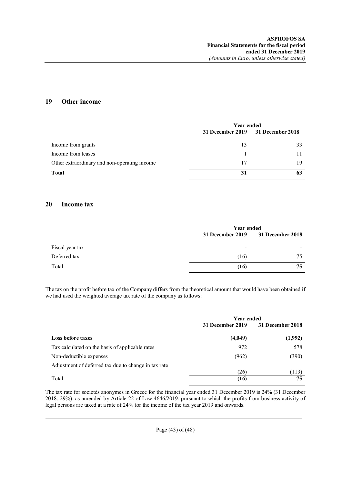# **19 Other income**

|                                              | <b>Year ended</b>                 |    |
|----------------------------------------------|-----------------------------------|----|
|                                              | 31 December 2019 31 December 2018 |    |
| Income from grants                           | 13                                | 33 |
| Income from leases                           |                                   |    |
| Other extraordinary and non-operating income | 17                                | 19 |
| <b>Total</b>                                 | 31                                |    |

# **20 Income tax**

|                 |                          | <b>Year ended</b>       |  |
|-----------------|--------------------------|-------------------------|--|
|                 | 31 December 2019         | <b>31 December 2018</b> |  |
| Fiscal year tax | $\overline{\phantom{0}}$ | $\,$                    |  |
| Deferred tax    | (16)                     | 75                      |  |
| Total           | (16)                     | 75                      |  |

The tax on the profit before tax of the Company differs from the theoretical amount that would have been obtained if we had used the weighted average tax rate of the company as follows:

|                                                      | <b>Year ended</b> |                  |
|------------------------------------------------------|-------------------|------------------|
|                                                      | 31 December 2019  | 31 December 2018 |
| <b>Loss before taxes</b>                             | (4,049)           | (1,992)          |
| Tax calculated on the basis of applicable rates      | 972               | 578              |
| Non-deductible expenses                              | (962)             | (390)            |
| Adjustment of deferred tax due to change in tax rate |                   |                  |
|                                                      | (26)              | (113)            |
| Total                                                | (16)              | 75               |

The tax rate for sociétés anonymes in Greece for the financial year ended 31 December 2019 is 24% (31 December 2018: 29%), as amended by Article 22 of Law 4646/2019, pursuant to which the profits from business activity of legal persons are taxed at a rate of 24% for the income of the tax year 2019 and onwards.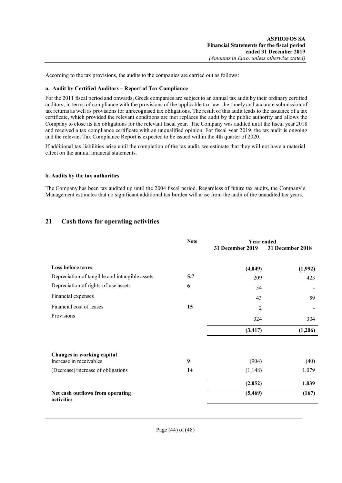According to the tax provisions, the audits to the companies are carried out as follows:

### **a. Audit by Certified Auditors – Report of Tax Compliance**

For the 2011 fiscal period and onwards, Greek companies are subject to an annual tax audit by their ordinary certified auditors, in terms of compliance with the provisions of the applicable tax law, the timely and accurate submission of tax returns as well as provisions for unrecognised tax obligations. The result of this audit leads to the issuance of a tax certificate, which provided the relevant conditions are met replaces the audit by the public authority and allows the Company to close its tax obligations for the relevant fiscal year. The Company was audited until the fiscal year 2018 and received a tax compliance certificate with an unqualified opinion. For fiscal year 2019, the tax audit is ongoing and the relevant Tax Compliance Report is expected to be issued within the 4th quarter of 2020.

If additional tax liabilities arise until the completion of the tax audit, we estimate that they will not have a material effect on the annual financial statements.

#### **b. Audits by the tax authorities**

The Company has been tax audited up until the 2004 fiscal period. Regardless of future tax audits, the Company's Management estimates that no significant additional tax burden will arise from the audit of the unaudited tax years.

# **21 Cash flows for operating activities**

|                                                | <b>Note</b> | <b>Year ended</b> |                  |
|------------------------------------------------|-------------|-------------------|------------------|
|                                                |             | 31 December 2019  | 31 December 2018 |
|                                                |             |                   |                  |
| <b>Loss before taxes</b>                       |             | (4,049)           | (1,992)          |
| Depreciation of tangible and intangible assets | 5.7         | 209               | 423              |
| Depreciation of rights-of-use assets           | 6           | 54                |                  |
| Financial expenses                             |             | 43                | 59               |
| Financial cost of leases                       | 15          | $\overline{2}$    |                  |
| Provisions                                     |             | 324               | 304              |
|                                                |             | (3, 417)          | (1,206)          |
|                                                |             |                   |                  |
| Changes in working capital                     |             |                   |                  |
| Increase in receivables                        | 9           | (904)             | (40)             |
| (Decrease)/increase of obligations             | 14          | (1,148)           | 1,079            |
|                                                |             | (2,052)           | 1,039            |
| Net cash outflows from operating<br>activities |             | (5, 469)          | (167)            |
|                                                |             |                   |                  |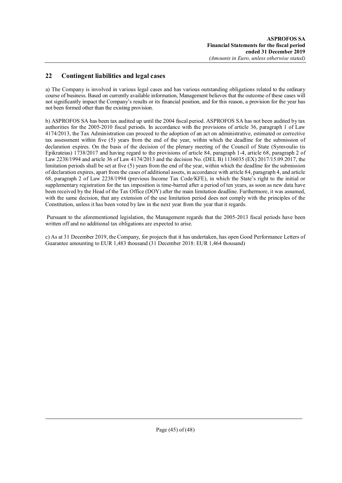# **22 Contingent liabilities and legal cases**

a) The Company is involved in various legal cases and has various outstanding obligations related to the ordinary course of business. Based on currently available information, Management believes that the outcome of these cases will not significantly impact the Company's results or its financial position, and for this reason, a provision for the year has not been formed other than the existing provision.

b) ASPROFOS SA has been tax audited up until the 2004 fiscal period. ASPROFOS SA has not been audited by tax authorities for the 2005-2010 fiscal periods. In accordance with the provisions of article 36, paragraph 1 of Law 4174/2013, the Tax Administration can proceed to the adoption of an act on administrative, estimated or corrective tax assessment within five (5) years from the end of the year, within which the deadline for the submission of declaration expires. On the basis of the decision of the plenary meeting of the Council of State (Symvoulio tis Epikrateias) 1738/2017 and having regard to the provisions of article 84, paragraph 1-4, article 68, paragraph 2 of Law 2238/1994 and article 36 of Law 4174/2013 and the decision No. (DEL B) 1136035 (EX) 2017/15.09.2017, the limitation periods shall be set at five (5) years from the end of the year, within which the deadline for the submission of declaration expires, apart from the cases of additional assets, in accordance with article 84, paragraph 4, and article 68, paragraph 2 of Law 2238/1994 (previous Income Tax Code/KFE), in which the State's right to the initial or supplementary registration for the tax imposition is time-barred after a period of ten years, as soon as new data have been received by the Head of the Tax Office (DOY) after the main limitation deadline. Furthermore, it was assumed, with the same decision, that any extension of the use limitation period does not comply with the principles of the Constitution, unless it has been voted by law in the next year from the year that it regards.

Pursuant to the aforementioned legislation, the Management regards that the 2005-2013 fiscal periods have been written off and no additional tax obligations are expected to arise.

c) As at 31 December 2019, the Company, for projects that it has undertaken, has open Good Performance Letters of Guarantee amounting to EUR 1,483 thousand (31 December 2018: EUR 1,464 thousand)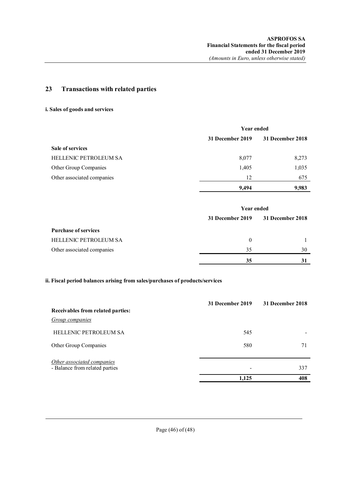# **23 Transactions with related parties**

# **i. Sales of goods and services**

|                            | <b>Year ended</b> |                  |
|----------------------------|-------------------|------------------|
|                            | 31 December 2019  | 31 December 2018 |
| <b>Sale of services</b>    |                   |                  |
| HELLENIC PETROLEUM SA      | 8,077             | 8,273            |
| Other Group Companies      | 1,405             | 1,035            |
| Other associated companies | 12                | 675              |
|                            | 9,494             | 9,983            |

|                              |                  | <b>Year ended</b> |  |
|------------------------------|------------------|-------------------|--|
|                              | 31 December 2019 | 31 December 2018  |  |
| <b>Purchase of services</b>  |                  |                   |  |
| <b>HELLENIC PETROLEUM SA</b> | $\theta$         |                   |  |
| Other associated companies   | 35               | 30                |  |
|                              | 35               |                   |  |

# **ii. Fiscal period balances arising from sales/purchases of products/services**

|                                                              | 31 December 2019 | 31 December 2018 |
|--------------------------------------------------------------|------------------|------------------|
| Receivables from related parties:<br>Group companies         |                  |                  |
| <b>HELLENIC PETROLEUM SA</b>                                 | 545              |                  |
| Other Group Companies                                        | 580              |                  |
| Other associated companies<br>- Balance from related parties |                  | 337              |
|                                                              | 1,125            | 408              |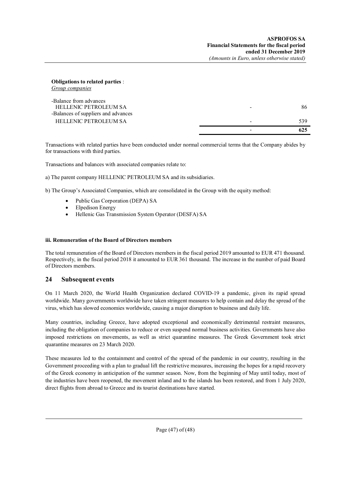**Obligations to related parties** : *Group companies* 

| -Balance from advances<br><b>HELLENIC PETROLEUM SA</b><br>-Balances of suppliers and advances | 86  |
|-----------------------------------------------------------------------------------------------|-----|
| HELLENIC PETROLEUM SA                                                                         | 539 |
|                                                                                               | 625 |

Transactions with related parties have been conducted under normal commercial terms that the Company abides by for transactions with third parties.

Transactions and balances with associated companies relate to:

a) The parent company HELLENIC PETROLEUM SA and its subsidiaries.

b) The Group's Associated Companies, which are consolidated in the Group with the equity method:

- Public Gas Corporation (DEPA) SA
- Elpedison Energy
- Hellenic Gas Transmission System Operator (DESFA) SA

#### **iii. Remuneration of the Board of Directors members**

The total remuneration of the Board of Directors members in the fiscal period 2019 amounted to EUR 471 thousand. Respectively, in the fiscal period 2018 it amounted to EUR 361 thousand. The increase in the number of paid Board of Directors members.

# **24 Subsequent events**

On 11 March 2020, the World Health Organization declared COVID-19 a pandemic, given its rapid spread worldwide. Many governments worldwide have taken stringent measures to help contain and delay the spread of the virus, which has slowed economies worldwide, causing a major disruption to business and daily life.

Many countries, including Greece, have adopted exceptional and economically detrimental restraint measures, including the obligation of companies to reduce or even suspend normal business activities. Governments have also imposed restrictions on movements, as well as strict quarantine measures. The Greek Government took strict quarantine measures on 23 March 2020.

These measures led to the containment and control of the spread of the pandemic in our country, resulting in the Government proceeding with a plan to gradual lift the restrictive measures, increasing the hopes for a rapid recovery of the Greek economy in anticipation of the summer season. Now, from the beginning of May until today, most of the industries have been reopened, the movement inland and to the islands has been restored, and from 1 July 2020, direct flights from abroad to Greece and its tourist destinations have started.